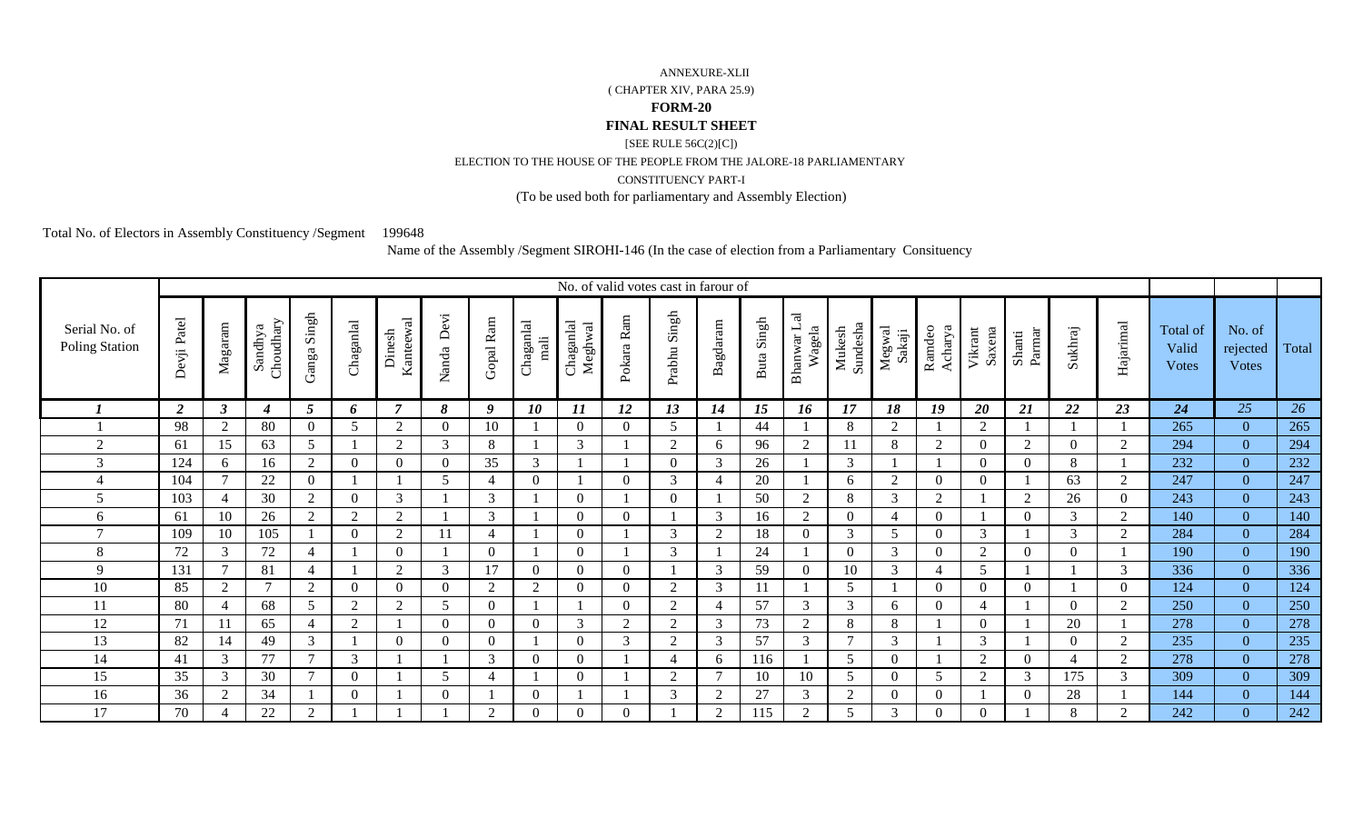## ANNEXURE-XLII( CHAPTER XIV, PARA 25.9)**FORM-20FINAL RESULT SHEET**

[SEE RULE 56C(2)[C])

ELECTION TO THE HOUSE OF THE PEOPLE FROM THE JALORE-18 PARLIAMENTARY

CONSTITUENCY PART-I

(To be used both for parliamentary and Assembly Election)

Total No. of Electors in Assembly Constituency /Segment 199648

Name of the Assembly /Segment SIROHI-146 (In the case of election from a Parliamentary Consituency

|                                        |             |              |                      |                |                |                     |               |                |                             |                      |                | No. of valid votes cast in farour of |                |            |                       |                    |                  |                          |                   |                  |           |                |                                   |                                    |                  |
|----------------------------------------|-------------|--------------|----------------------|----------------|----------------|---------------------|---------------|----------------|-----------------------------|----------------------|----------------|--------------------------------------|----------------|------------|-----------------------|--------------------|------------------|--------------------------|-------------------|------------------|-----------|----------------|-----------------------------------|------------------------------------|------------------|
| Serial No. of<br><b>Poling Station</b> | Devji Patel | $M$ agaram   | Choudhary<br>Sandhya | Singh<br>Ganga | Chaganlal      | Kanteewal<br>Dinesh | Devi<br>Nanda | Gopal Ram      | Chaganlal<br>$_{\rm{mali}}$ | Chaganlal<br>Meghwal | Pokara Ram     | Singh<br>Prabhu                      | Bagdaram       | Buta Singh | Bhanwar Lal<br>Wagela | Sundesha<br>Mukesh | Megwal<br>Sakaji | Ramdeo<br>Acharya        | Vikrant<br>Saxena | Parmar<br>Shanti | Sukhraj   | Hajarimal      | Total of<br>Valid<br><b>Votes</b> | No. of<br>rejected<br><b>Votes</b> | Total            |
|                                        | 2           | $\mathbf{R}$ | $\boldsymbol{4}$     | 5              | 6              | $\overline{7}$      | 8             | 9              | 10                          | 11                   | 12             | 13                                   | 14             | 15         | 16                    | 17                 | 18               | 19                       | 20                | 21               | 22        | 23             | 24                                | 25                                 | 26               |
|                                        | 98          | ി            | 80                   | $\Omega$       | 5              | 2                   |               | 10             |                             | $\theta$             | $\theta$       | 5                                    |                | 44         |                       | 8                  | $\bigcap$        |                          | 2                 |                  |           |                | 265                               | $\overline{0}$                     | $\overline{265}$ |
| $\overline{2}$                         | 61          | 15           | 63                   | 5              |                | 2                   | 3             | 8              |                             | 3                    |                | 2                                    | 6              | 96         | 2                     | 11                 | 8                | 2                        | $\theta$          | 2                | $\Omega$  | 2              | 294                               | $\overline{0}$                     | 294              |
| 3                                      | 124         | 6            | 16                   | $\bigcap$      | $\theta$       | $\Omega$            |               | 35             | $\mathcal{R}$               |                      |                | $\Omega$                             | 3              | 26         |                       | $\mathfrak{Z}$     |                  |                          |                   | $\Omega$         | 8         |                | 232                               | $\overline{0}$                     | 232              |
|                                        | 104         |              | 22                   | 0              |                |                     |               | $\overline{4}$ |                             |                      | $\Omega$       | 3                                    |                | 20         |                       | 6                  | $\gamma$         | $\Omega$                 | $\theta$          |                  | 63        | 2              | 247                               | $\overline{0}$                     | 247              |
| 5                                      | 103         |              | 30                   | 2              | $\Omega$       | 3                   |               | 3              |                             | $\Omega$             |                | $\Omega$                             |                | 50         | 2                     | 8                  | 3                | 2                        |                   | 2                | 26        | $\Omega$       | 243                               | $\overline{0}$                     | 243              |
| 6                                      | 61          | 10           | 26                   | $\mathcal{D}$  | $\overline{2}$ | 2                   |               | 3              |                             | $\Omega$             | $\Omega$       |                                      | 3              | 16         | $\overline{2}$        | $\theta$           |                  | $\Omega$                 |                   | $\Omega$         | 3         | 2              | 140                               | $\overline{0}$                     | 140              |
| $\mathbf{z}$                           | 109         | 10           | 105                  |                | $\theta$       | 2                   |               | $\overline{4}$ |                             | $\Omega$             |                | 3                                    | $\bigcirc$     | 18         |                       | 3                  | 5                |                          | 3                 |                  | 3         | 2              | 284                               | $\overline{0}$                     | 284              |
| 8                                      | 72          | 3            | 72                   |                |                | $\Omega$            |               | $\Omega$       |                             | $\Omega$             |                | 3                                    |                | 24         |                       | $\theta$           | 3                | $\Omega$                 | 2                 | $\theta$         | $\Omega$  |                | 190                               | $\overline{0}$                     | 190              |
| $\mathbf Q$                            | 131         |              | 81                   |                |                | 2                   | 3             | 17             |                             | $\Omega$             | $\Omega$       |                                      | 3              | 59         | $\Omega$              | 10                 | 3                |                          | 5                 |                  |           | 3              | 336                               | $\overline{0}$                     | 336              |
| 10                                     | 85          | ി            | $\mathcal{I}$        | ◠              | $\theta$       | $\Omega$            |               | 2              | ⌒                           | $\Omega$             | $\Omega$       | $\mathcal{L}$                        | 3              | 11         |                       | 5                  |                  | $\Omega$                 | $\Omega$          | $\theta$         |           | $\Omega$       | 124                               | $\overline{0}$                     | 124              |
| 11                                     | 80          |              | 68                   |                | 2              | 2                   |               | $\Omega$       |                             |                      | $\theta$       | 2                                    |                | 57         | 3                     | 3                  | 6                |                          |                   |                  | $\Omega$  | 2              | 250                               | $\overline{0}$                     | 250              |
| 12                                     | 71          | 11           | 65                   |                | $\overline{2}$ |                     |               | $\Omega$       |                             | 3                    | 2              | 2                                    | 3              | 73         | $\overline{2}$        | 8                  | 8                |                          | $\Omega$          |                  | 20        |                | 278                               | $\overline{0}$                     | 278              |
| 13                                     | 82          | 14           | 49                   | 3              |                | $\theta$            |               | $\Omega$       |                             | $\Omega$             | 3              | 2                                    | 3              | 57         | 3                     | $\overline{ }$     | 3                |                          | 3                 |                  | $\Omega$  | 2              | 235                               | $\overline{0}$                     | 235              |
| 14                                     | 41          | 3            | 77                   | $\mathbf{r}$   | 3              |                     |               | 3              |                             | $\Omega$             |                |                                      | 6              | 116        |                       | 5                  | $\Omega$         |                          | $\overline{2}$    | $\Omega$         | $\Lambda$ | 2              | 278                               | $\overline{0}$                     | 278              |
| 15                                     | 35          | 3            | 30                   |                | $\overline{0}$ |                     |               | $\overline{4}$ |                             | $\Omega$             |                | 2                                    | $\mathbf{z}$   | 10         | 10                    | 5                  | $\Omega$         | $\overline{\phantom{0}}$ | 2                 | 3                | 175       | 3              | 309                               | $\overline{0}$                     | 309              |
| 16                                     | 36          | $\bigcap$    | 34                   |                | $\overline{0}$ |                     |               |                |                             |                      |                | 3                                    | $\gamma$       | 27         | 3                     | $\overline{2}$     | $\Omega$         | $\Omega$                 |                   | $\Omega$         | 28        |                | 144                               | $\overline{0}$                     | 144              |
| 17                                     | 70          |              | 22                   | $\gamma$<br>∠  |                |                     |               | $\overline{2}$ |                             | $\theta$             | $\overline{0}$ |                                      | $\overline{2}$ | 115        | $\overline{c}$        | 5                  | 3                | $\theta$                 |                   |                  | 8         | $\overline{2}$ | 242                               | $\overline{0}$                     | $\overline{242}$ |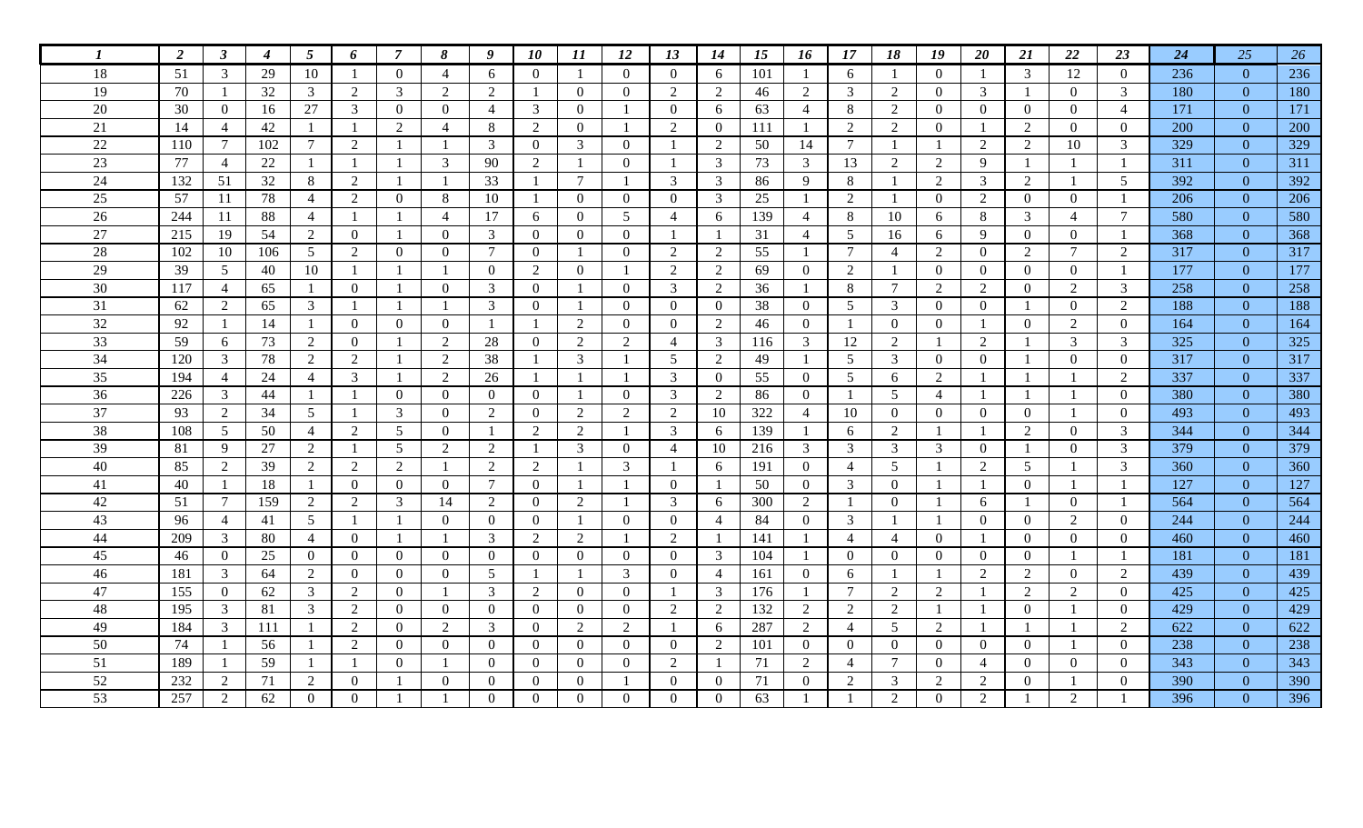| $\boldsymbol{l}$ | $\overline{2}$ | $\mathbf{3}$   | $\boldsymbol{4}$ | 5               | 6              | $\overline{7}$  | 8              | 9               | 10             | 11             | 12             | 13             | 14             | 15  | 16             | 17             | 18              | 19             | 20             | 21             | 22             | 23             | 24  | 25             | 26  |
|------------------|----------------|----------------|------------------|-----------------|----------------|-----------------|----------------|-----------------|----------------|----------------|----------------|----------------|----------------|-----|----------------|----------------|-----------------|----------------|----------------|----------------|----------------|----------------|-----|----------------|-----|
| 18               | 51             | $\mathfrak{Z}$ | 29               | 10              | $\mathbf{1}$   | $\overline{0}$  | $\overline{4}$ | 6               | $\overline{0}$ |                | $\overline{0}$ | $\overline{0}$ | 6              | 101 |                | 6              | - 1             | $\mathbf{0}$   | $\overline{1}$ | 3              | 12             | $\overline{0}$ | 236 | $\overline{0}$ | 236 |
| 19               | 70             |                | 32               | 3 <sup>1</sup>  | 2              | $\mathfrak{Z}$  | $\overline{2}$ | 2               | $\overline{1}$ | $\overline{0}$ | $\theta$       | $\overline{2}$ | $\overline{2}$ | 46  | $\overline{2}$ | 3              | $\overline{2}$  | $\overline{0}$ | 3              | -1             | $\Omega$       | 3              | 180 | $\mathbf{0}$   | 180 |
| 20               | 30             | $\overline{0}$ | 16               | 27              | 3              | $\overline{0}$  | $\overline{0}$ | $\overline{4}$  | $\mathfrak{Z}$ | $\overline{0}$ | $\mathbf{1}$   | $\overline{0}$ | 6              | 63  | $\overline{4}$ | 8              | $\overline{2}$  | $\mathbf{0}$   | $\overline{0}$ | $\overline{0}$ | $\Omega$       | $\overline{4}$ | 171 | $\mathbf{0}$   | 171 |
| 21               | 14             | 4              | 42               |                 | -1             | 2               | $\overline{4}$ | 8               | 2              | $\overline{0}$ | -1             | $\overline{2}$ | $\overline{0}$ | 111 | -1             | 2              | $\overline{2}$  | $\overline{0}$ | -1             | 2              | $\Omega$       | $\Omega$       | 200 | $\overline{0}$ | 200 |
| 22               | 110            | $\tau$         | 102              | $7\phantom{.0}$ | 2              |                 |                | $\overline{3}$  | $\overline{0}$ | 3              | $\overline{0}$ | $\mathbf{1}$   | 2              | 50  | 14             | $\overline{7}$ | -1              |                | $\overline{2}$ | $\overline{2}$ | 10             | $\mathfrak{Z}$ | 329 | $\overline{0}$ | 329 |
| 23               | 77             | $\overline{4}$ | 22               |                 | -1             |                 | 3              | 90              | $\overline{2}$ |                | $\overline{0}$ | -1             | $\mathfrak{Z}$ | 73  | $\mathfrak{Z}$ | 13             | $\overline{2}$  | 2              | 9              | -1             |                |                | 311 | $\overline{0}$ | 311 |
| 24               | 132            | 51             | 32               | 8               | 2              |                 |                | 33              | -1             | $\overline{7}$ | $\mathbf{1}$   | 3              | $\mathfrak{Z}$ | 86  | 9              | 8              | -1              | 2              | $\mathfrak{Z}$ | $\overline{2}$ |                | 5              | 392 | $\mathbf{0}$   | 392 |
| 25               | 57             | 11             | 78               | $\overline{4}$  | 2              | $\overline{0}$  | 8              | 10              | -1             | $\overline{0}$ | $\overline{0}$ | $\overline{0}$ | $\mathfrak{Z}$ | 25  | -1             | 2              | -1              | $\overline{0}$ | $\overline{2}$ | $\overline{0}$ | $\overline{0}$ |                | 206 | $\mathbf{0}$   | 206 |
| 26               | 244            | 11             | 88               | $\overline{4}$  | $\mathbf{1}$   | $\overline{1}$  | $\overline{4}$ | 17              | 6              | $\mathbf{0}$   | 5              | $\overline{4}$ | 6              | 139 | $\overline{4}$ | 8              | 10              | 6              | 8              | $\mathfrak{Z}$ | $\overline{4}$ | $\overline{7}$ | 580 | $\mathbf{0}$   | 580 |
| 27               | 215            | 19             | 54               | $\overline{2}$  | $\overline{0}$ | $\overline{1}$  | $\theta$       | $\mathbf{3}$    | $\overline{0}$ | $\overline{0}$ | $\overline{0}$ | $\mathbf{1}$   |                | 31  | $\overline{4}$ | $\overline{5}$ | 16              | 6              | 9              | $\overline{0}$ | $\overline{0}$ |                | 368 | $\mathbf{0}$   | 368 |
| 28               | 102            | 10             | 106              | $5\overline{)}$ | 2              | $\Omega$        | $\overline{0}$ | 7               | $\overline{0}$ |                | $\overline{0}$ | $\overline{2}$ | 2              | 55  |                | $\overline{7}$ | $\overline{4}$  | 2              | $\overline{0}$ | 2              | $\overline{7}$ | 2              | 317 | $\overline{0}$ | 317 |
| 29               | 39             | 5 <sup>5</sup> | 40               | 10              | -1             |                 |                | $\overline{0}$  | 2              | $\overline{0}$ | -1             | 2              | 2              | 69  | $\overline{0}$ | 2              | -1              | $\overline{0}$ | $\Omega$       | $\Omega$       | $\Omega$       |                | 177 | $\theta$       | 177 |
| 30               | 117            | 4              | 65               |                 | $\Omega$       |                 | $\Omega$       | 3               | $\overline{0}$ |                | $\Omega$       | $\mathfrak{Z}$ | $\overline{2}$ | 36  |                | 8              | $\overline{7}$  | 2              | $\overline{2}$ | $\Omega$       | $\overline{2}$ | 3              | 258 | $\theta$       | 258 |
| 31               | 62             | $\overline{2}$ | 65               | $\mathfrak{Z}$  | -1             |                 |                | 3               | $\overline{0}$ |                | $\overline{0}$ | $\overline{0}$ | $\overline{0}$ | 38  | $\overline{0}$ | $\overline{5}$ | $\mathfrak{Z}$  | $\overline{0}$ | $\overline{0}$ | -1             | $\overline{0}$ | 2              | 188 | $\mathbf{0}$   | 188 |
| 32               | 92             |                | 14               | $\overline{1}$  | $\overline{0}$ | $\overline{0}$  | $\overline{0}$ | -1              | -1             | 2              | $\overline{0}$ | $\overline{0}$ | 2              | 46  | $\overline{0}$ | -1             | $\overline{0}$  | $\overline{0}$ | -1             | $\overline{0}$ | $\overline{2}$ | $\overline{0}$ | 164 | $\overline{0}$ | 164 |
| 33               | 59             | 6              | 73               | $\overline{2}$  | $\overline{0}$ | -1              | 2              | 28              | $\overline{0}$ | 2              | $\overline{2}$ | $\overline{4}$ | $\mathfrak{Z}$ | 116 | $\mathfrak{Z}$ | 12             | $\overline{2}$  |                | 2              | -1             | $\mathfrak{Z}$ | $\mathfrak{Z}$ | 325 | $\mathbf{0}$   | 325 |
| 34               | 120            | $\mathfrak{Z}$ | 78               | $\overline{2}$  | 2              |                 | $\overline{2}$ | 38              |                | 3              | -1             | 5 <sup>5</sup> | 2              | 49  |                | 5              | $\mathfrak{Z}$  | $\overline{0}$ | $\overline{0}$ |                | $\overline{0}$ | $\overline{0}$ | 317 | $\mathbf{0}$   | 317 |
| 35               | 194            | 4              | 24               | $\overline{4}$  | $\mathbf{3}$   | -1              | 2              | 26              |                |                | -1             | $\mathfrak{Z}$ | $\overline{0}$ | 55  | $\overline{0}$ | $\overline{5}$ | 6               | 2              | -1             |                |                | 2              | 337 | $\mathbf{0}$   | 337 |
| 36               | 226            | $\mathfrak{Z}$ | 44               | $\overline{1}$  | -1             | $\theta$        | $\overline{0}$ | $\overline{0}$  | $\overline{0}$ |                | $\Omega$       | $\mathfrak{Z}$ | 2              | 86  | $\overline{0}$ | -1             | 5 <sup>5</sup>  | $\overline{4}$ | -1             | - 1            |                | $\theta$       | 380 | $\mathbf{0}$   | 380 |
| 37               | 93             | $\overline{2}$ | 34               | $5\overline{)}$ | -1             | $\mathfrak{Z}$  | $\Omega$       | 2               | $\Omega$       | 2              | 2              | $\overline{2}$ | 10             | 322 | $\overline{4}$ | 10             | $\overline{0}$  | $\theta$       | $\Omega$       | $\Omega$       |                | $\Omega$       | 493 | $\theta$       | 493 |
| 38               | 108            | 5 <sup>5</sup> | 50               | 4               | 2              | 5 <sup>5</sup>  | $\overline{0}$ | -1              | $\overline{2}$ | 2              | -1             | 3 <sup>7</sup> | 6              | 139 | -1             | 6              | $\overline{2}$  |                | $\overline{1}$ | 2              | $\overline{0}$ | $\mathfrak{Z}$ | 344 | $\overline{0}$ | 344 |
| 39               | 81             | 9              | 27               | 2               | -1             | $5\overline{)}$ | 2              | 2               | $\overline{1}$ | 3              | $\overline{0}$ | $\overline{4}$ | 10             | 216 | $\mathfrak{Z}$ | $\mathbf{3}$   | $\mathfrak{Z}$  | $\mathfrak{Z}$ | $\overline{0}$ | - 1            | $\overline{0}$ | $\mathfrak{Z}$ | 379 | $\overline{0}$ | 379 |
| 40               | 85             | $\overline{2}$ | 39               | $\overline{2}$  | 2              | 2               |                | 2               | $\overline{2}$ |                | 3              | -1             | 6              | 191 | $\overline{0}$ | $\overline{4}$ | 5 <sup>5</sup>  |                | 2              | $\mathfrak{S}$ |                | 3              | 360 | $\mathbf{0}$   | 360 |
| 41               | 40             |                | 18               |                 | $\overline{0}$ | $\overline{0}$  | $\overline{0}$ | $7\phantom{.0}$ | $\overline{0}$ |                | -1             | $\overline{0}$ |                | 50  | $\overline{0}$ | $\mathbf{3}$   | $\overline{0}$  |                | -1             | $\overline{0}$ |                |                | 127 | $\mathbf{0}$   | 127 |
| 42               | 51             | $\tau$         | 159              | $\overline{2}$  | 2              | 3               | 14             | 2               | $\overline{0}$ | 2              | -1             | $\mathfrak{Z}$ | 6              | 300 | 2              | -1             | $\overline{0}$  |                | 6              | - 1            | $\overline{0}$ |                | 564 | $\mathbf{0}$   | 564 |
| 43               | 96             | 4              | 41               | $5\overline{)}$ | -1             | -1              | $\overline{0}$ | $\overline{0}$  | $\overline{0}$ |                | $\overline{0}$ | $\overline{0}$ | $\overline{4}$ | 84  | $\overline{0}$ | 3              | -1              |                | $\overline{0}$ | $\overline{0}$ | 2              | $\Omega$       | 244 | $\overline{0}$ | 244 |
| 44               | 209            | $\mathfrak{Z}$ | 80               | $\overline{4}$  | $\overline{0}$ | $\overline{1}$  |                | $\overline{3}$  | 2              | 2              | -1             | $\overline{2}$ |                | 141 | -1             | $\overline{4}$ | $\overline{4}$  | $\theta$       | -1             | $\Omega$       | $\overline{0}$ | $\theta$       | 460 | $\overline{0}$ | 460 |
| 45               | 46             | $\overline{0}$ | 25               | $\overline{0}$  | $\overline{0}$ | $\theta$        | $\overline{0}$ | $\overline{0}$  | $\overline{0}$ | $\overline{0}$ | $\overline{0}$ | $\Omega$       | $\mathfrak{Z}$ | 104 | -1             | $\overline{0}$ | $\overline{0}$  | $\overline{0}$ | $\theta$       | $\overline{0}$ |                |                | 181 | $\overline{0}$ | 181 |
| 46               | 181            | $\mathfrak{Z}$ | 64               | $\overline{2}$  | $\overline{0}$ | $\theta$        | $\Omega$       | $5\overline{)}$ | -1             |                | $\mathfrak{Z}$ | $\Omega$       | $\overline{4}$ | 161 | $\overline{0}$ | 6              | -1              |                | 2              | 2              | $\Omega$       | 2              | 439 | $\theta$       | 439 |
| 47               | 155            | $\overline{0}$ | 62               | $\mathfrak{Z}$  | 2              | $\overline{0}$  |                | $\overline{3}$  | 2              | $\overline{0}$ | $\overline{0}$ | $\overline{1}$ | $\mathfrak{Z}$ | 176 | -1             | $\overline{7}$ | 2               | 2              | -1             | 2              | 2              | $\overline{0}$ | 425 | $\overline{0}$ | 425 |
| 48               | 195            | $\mathfrak{Z}$ | 81               | $\mathbf{3}$    | 2              | $\overline{0}$  | $\overline{0}$ | $\overline{0}$  | $\overline{0}$ | $\overline{0}$ | $\overline{0}$ | $\overline{2}$ | 2              | 132 | $\overline{2}$ | 2              | 2               |                | -1             | $\overline{0}$ |                | $\overline{0}$ | 429 | $\overline{0}$ | 429 |
| 49               | 184            | $\mathfrak{Z}$ | 111              | -1              | 2              | $\overline{0}$  | 2              | $\overline{3}$  | $\overline{0}$ | 2              | 2              | $\mathbf{1}$   | 6              | 287 | $\overline{2}$ | $\overline{4}$ | 5 <sup>5</sup>  | 2              | $\overline{1}$ | -1             |                | 2              | 622 | $\overline{0}$ | 622 |
| 50               | 74             |                | 56               |                 | 2              | $\Omega$        | $\overline{0}$ | $\overline{0}$  | $\overline{0}$ | $\overline{0}$ | $\overline{0}$ | $\Omega$       | 2              | 101 | $\overline{0}$ | $\overline{0}$ | $\overline{0}$  | $\overline{0}$ | $\overline{0}$ | $\Omega$       | -1             | $\Omega$       | 238 | $\overline{0}$ | 238 |
| 51               | 189            |                | 59               |                 | -1             | $\overline{0}$  |                | $\overline{0}$  | $\overline{0}$ | $\overline{0}$ | $\overline{0}$ | $\overline{2}$ |                | 71  | 2              | $\overline{4}$ | $7\phantom{.0}$ | $\overline{0}$ | $\overline{4}$ | $\Omega$       | $\bf{0}$       | $\Omega$       | 343 | $\overline{0}$ | 343 |
| 52               | 232            | 2              | 71               | 2               | $\overline{0}$ |                 | $\Omega$       | $\overline{0}$  | $\Omega$       | $\theta$       | $\mathbf{1}$   | $\Omega$       | $\Omega$       | 71  | $\overline{0}$ | 2              | $\mathfrak{Z}$  | 2              | 2              | $\Omega$       |                | $\Omega$       | 390 | $\theta$       | 390 |
| $\overline{53}$  | 257            | 2              | 62               | $\Omega$        | $\theta$       |                 |                | $\theta$        | $\theta$       | $\Omega$       | $\theta$       | $\Omega$       | $\Omega$       | 63  |                |                | $\overline{2}$  | $\theta$       | 2              |                | $\overline{2}$ |                | 396 | $\Omega$       | 396 |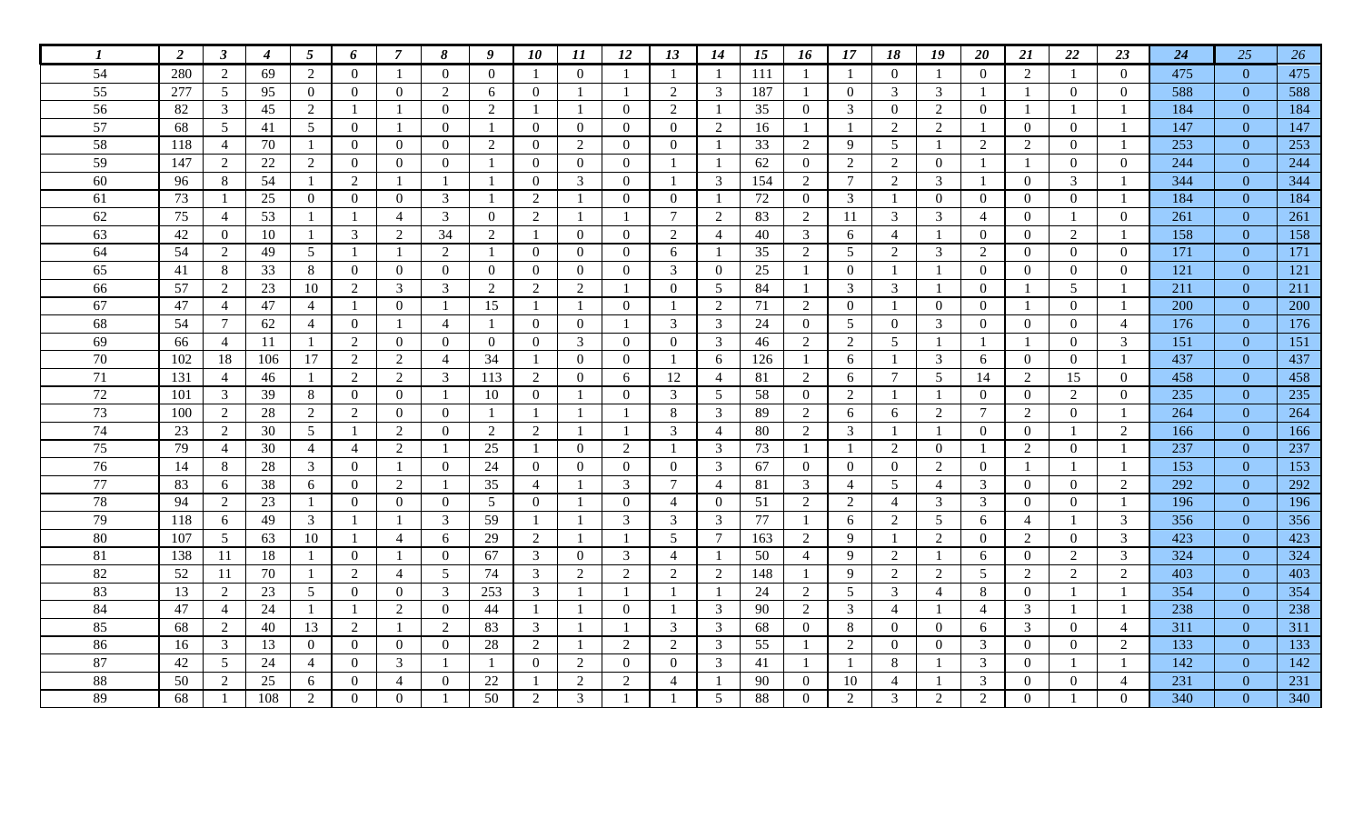| $\boldsymbol{l}$ | $\overline{2}$ | $\mathbf{3}$   | $\overline{4}$ | 5 <sup>5</sup> | 6              | $\overline{7}$ | 8               | 9              | 10             | 11             | <i>12</i>      | 13             | <b>14</b>       | 15  | 16             | 17             | 18              | 19             | 20              | 21             | 22             | 23             | 24  | 25             | 26  |
|------------------|----------------|----------------|----------------|----------------|----------------|----------------|-----------------|----------------|----------------|----------------|----------------|----------------|-----------------|-----|----------------|----------------|-----------------|----------------|-----------------|----------------|----------------|----------------|-----|----------------|-----|
| 54               | 280            | $\overline{2}$ | 69             | $\overline{2}$ | $\Omega$       | $\overline{1}$ | $\overline{0}$  | $\overline{0}$ | $\overline{1}$ | $\overline{0}$ | $\overline{1}$ | $\overline{1}$ |                 | 111 |                | $\overline{1}$ | $\overline{0}$  |                | $\mathbf{0}$    | $\overline{2}$ |                | $\Omega$       | 475 | $\mathbf{0}$   | 475 |
| 55               | 277            | 5 <sup>5</sup> | 95             | $\overline{0}$ | $\Omega$       | $\overline{0}$ | $\overline{2}$  | 6              | $\overline{0}$ |                | $\overline{1}$ | $\overline{2}$ | 3               | 187 | -1             | $\Omega$       | $\mathfrak{Z}$  | 3              | $\mathbf{1}$    | -1             | $\overline{0}$ | $\Omega$       | 588 | $\mathbf{0}$   | 588 |
| 56               | 82             | 3              | 45             | $\overline{2}$ |                | - 1            | $\overline{0}$  | 2              |                |                | $\Omega$       | $\overline{2}$ |                 | 35  | $\overline{0}$ | 3              | $\overline{0}$  | 2              | $\overline{0}$  |                |                |                | 184 | $\overline{0}$ | 184 |
| 57               | 68             | 5 <sup>5</sup> | 41             | 5 <sup>5</sup> | $\Omega$       | $\overline{1}$ | $\overline{0}$  | -1             | $\Omega$       | $\overline{0}$ | $\theta$       | $\overline{0}$ | 2               | 16  |                | $\overline{1}$ | $\overline{2}$  | 2              | 1               | $\Omega$       | $\Omega$       |                | 147 | $\overline{0}$ | 147 |
| 58               | 118            | 4              | 70             |                | $\overline{0}$ | $\overline{0}$ | $\overline{0}$  | 2              | $\overline{0}$ | 2              | $\overline{0}$ | $\overline{0}$ |                 | 33  | $\overline{2}$ | 9              | $5\overline{)}$ |                | $\overline{2}$  | $\overline{2}$ | $\overline{0}$ |                | 253 | $\overline{0}$ | 253 |
| 59               | 147            | $\overline{2}$ | 22             | $\overline{2}$ | $\overline{0}$ | $\overline{0}$ | $\overline{0}$  |                | $\overline{0}$ | $\overline{0}$ | $\overline{0}$ | $\mathbf{1}$   |                 | 62  | $\overline{0}$ | 2              | $\overline{2}$  | $\overline{0}$ | $\mathbf{1}$    | -1             | $\overline{0}$ | $\overline{0}$ | 244 | $\mathbf{0}$   | 244 |
| 60               | 96             | 8              | 54             |                | 2              | -1             |                 |                | $\overline{0}$ | 3              | $\overline{0}$ | -1             | $\mathfrak{Z}$  | 154 | $\overline{2}$ | $\tau$         | $\overline{2}$  | 3              | $\mathbf{1}$    | $\overline{0}$ | $\mathbf{3}$   |                | 344 | $\mathbf{0}$   | 344 |
| 61               | 73             | $\mathbf{1}$   | 25             | $\overline{0}$ | $\overline{0}$ | $\overline{0}$ | $\mathfrak{Z}$  | -1             | $\overline{2}$ |                | $\overline{0}$ | $\overline{0}$ |                 | 72  | $\overline{0}$ | $\mathfrak{Z}$ | -1              | $\overline{0}$ | $\mathbf{0}$    | $\overline{0}$ | $\overline{0}$ |                | 184 | $\mathbf{0}$   | 184 |
| 62               | 75             | $\overline{4}$ | 53             |                |                | $\overline{4}$ | $\mathfrak{Z}$  | $\theta$       | $\overline{2}$ |                | -1             | $\tau$         | $\overline{2}$  | 83  | $\overline{2}$ | -11            | $\mathfrak{Z}$  | 3              | $\overline{4}$  | $\overline{0}$ | -1             | $\Omega$       | 261 | $\mathbf{0}$   | 261 |
| 63               | 42             | $\overline{0}$ | 10             |                | $\overline{3}$ | $\overline{2}$ | 34              | 2              | -1             | $\overline{0}$ | $\Omega$       | $\overline{2}$ | $\overline{4}$  | 40  | 3              | 6              | $\overline{4}$  |                | $\mathbf{0}$    | $\overline{0}$ | 2              | -1             | 158 | $\mathbf{0}$   | 158 |
| 64               | 54             | $\overline{2}$ | 49             | 5              | -1             | - 1            | 2               |                | $\overline{0}$ | $\overline{0}$ | $\Omega$       | 6              |                 | 35  | $\overline{2}$ | 5              | $\overline{2}$  | 3              | 2               | $\overline{0}$ | $\overline{0}$ | $\Omega$       | 171 | $\overline{0}$ | 171 |
| 65               | 41             | 8              | 33             | 8              | $\Omega$       | $\Omega$       | $\overline{0}$  | $\theta$       | $\overline{0}$ | $\overline{0}$ | $\theta$       | $\mathfrak{Z}$ | $\overline{0}$  | 25  | -1             | $\overline{0}$ | -1              |                | $\theta$        | $\Omega$       | $\overline{0}$ | $\Omega$       | 121 | $\theta$       | 121 |
| 66               | 57             | $\overline{2}$ | 23             | 10             | $\overline{2}$ | $\mathfrak{Z}$ | 3               | 2              | $\overline{2}$ | 2              | $\overline{1}$ | $\overline{0}$ | $\overline{5}$  | 84  |                | 3              | 3               |                | $\theta$        |                | 5              |                | 211 | $\theta$       | 211 |
| 67               | 47             | 4              | 47             | $\overline{4}$ | -1             | $\overline{0}$ |                 | 15             | 1              |                | $\overline{0}$ | $\mathbf{1}$   | 2               | 71  | $\overline{2}$ | $\overline{0}$ | -1              | $\overline{0}$ | $\overline{0}$  | -1             | $\overline{0}$ |                | 200 | $\mathbf{0}$   | 200 |
| 68               | 54             | $\tau$         | 62             | $\overline{4}$ | $\overline{0}$ | -1             | $\overline{4}$  | -1             | $\overline{0}$ | $\overline{0}$ | -1             | $\mathfrak{Z}$ | $\mathfrak{Z}$  | 24  | $\overline{0}$ | $\mathfrak{S}$ | $\overline{0}$  | $\mathfrak{Z}$ | $\mathbf{0}$    | $\overline{0}$ | $\overline{0}$ | $\overline{4}$ | 176 | $\overline{0}$ | 176 |
| 69               | 66             | $\overline{4}$ | 11             |                | 2              | $\overline{0}$ | $\overline{0}$  | $\overline{0}$ | $\overline{0}$ | 3              | $\overline{0}$ | $\overline{0}$ | $\mathfrak{Z}$  | 46  | $\overline{2}$ | 2              | $5\overline{)}$ |                | $\mathbf{1}$    | -1             | $\overline{0}$ | $\mathfrak{Z}$ | 151 | $\mathbf{0}$   | 151 |
| 70               | 102            | 18             | 106            | 17             | 2              | 2              | $\overline{4}$  | 34             |                | $\overline{0}$ | $\overline{0}$ | -1             | 6               | 126 |                | 6              |                 | $\mathfrak{Z}$ | 6               | $\overline{0}$ | $\overline{0}$ |                | 437 | $\mathbf{0}$   | 437 |
| 71               | 131            | $\overline{4}$ | 46             |                | 2              | $\overline{2}$ | $\mathfrak{Z}$  | 113            | $\overline{2}$ | $\overline{0}$ | 6              | 12             | $\overline{4}$  | 81  | $\overline{2}$ | 6              | $\tau$          | $\overline{5}$ | 14              | $\overline{2}$ | 15             | $\overline{0}$ | 458 | $\mathbf{0}$   | 458 |
| 72               | 101            | $\mathfrak{Z}$ | 39             | 8              | $\overline{0}$ | $\overline{0}$ |                 | 10             | $\overline{0}$ |                | $\Omega$       | $\mathfrak{Z}$ | $5\overline{)}$ | 58  | $\overline{0}$ | 2              | -1              |                | $\overline{0}$  | $\Omega$       | 2              | $\Omega$       | 235 | $\overline{0}$ | 235 |
| 73               | 100            | $\overline{2}$ | 28             | $\overline{2}$ | 2              | $\Omega$       | $\bf{0}$        | -1             | -1             |                | $\overline{1}$ | 8              | $\mathbf{3}$    | 89  | $\overline{2}$ | 6              | 6               | 2              | $7\phantom{.0}$ | 2              | $\overline{0}$ |                | 264 | $\theta$       | 264 |
| 74               | 23             | 2              | 30             | 5 <sup>5</sup> | -1             | 2              | $\bf{0}$        | 2              | $\overline{2}$ |                | -1             | $\mathfrak{Z}$ | $\overline{4}$  | 80  | $\overline{2}$ | $\mathfrak{Z}$ | -1              |                | $\mathbf{0}$    | $\overline{0}$ |                | 2              | 166 | $\overline{0}$ | 166 |
| 75               | 79             | 4              | 30             | 4              | $\overline{4}$ | 2              |                 | 25             | -1             | $\overline{0}$ | 2              | -1             | 3               | 73  | 1              | -1             | $\overline{2}$  | $\overline{0}$ | $\mathbf{1}$    | 2              | $\overline{0}$ |                | 237 | $\overline{0}$ | 237 |
| 76               | 14             | 8              | 28             | $\mathbf{3}$   | $\overline{0}$ | -1             | $\overline{0}$  | 24             | $\overline{0}$ | $\overline{0}$ | $\overline{0}$ | $\overline{0}$ | 3               | 67  | $\overline{0}$ | $\overline{0}$ | $\mathbf{0}$    | 2              | $\mathbf{0}$    | -1             |                |                | 153 | $\mathbf{0}$   | 153 |
| 77               | 83             | 6              | 38             | 6              | $\overline{0}$ | 2              |                 | 35             | $\overline{4}$ |                | $\mathfrak{Z}$ | $\tau$         | $\overline{4}$  | 81  | 3              | $\overline{4}$ | $5\overline{)}$ | $\overline{4}$ | $\mathfrak{Z}$  | $\overline{0}$ | $\overline{0}$ | 2              | 292 | $\mathbf{0}$   | 292 |
| 78               | 94             | $\overline{2}$ | 23             |                | $\overline{0}$ | $\overline{0}$ | $\overline{0}$  | 5              | $\overline{0}$ |                | $\Omega$       | $\overline{4}$ | $\overline{0}$  | 51  | $\overline{2}$ | 2              | $\overline{4}$  | 3              | $\mathfrak{Z}$  | $\overline{0}$ | $\overline{0}$ |                | 196 | $\mathbf{0}$   | 196 |
| 79               | 118            | 6              | 49             | $\mathbf{3}$   | -1             | - 1            | $\mathfrak{Z}$  | 59             | -1             |                | 3              | $\mathfrak{Z}$ | 3               | 77  | 1              | 6              | $\overline{2}$  | $\overline{5}$ | 6               | 4              |                | 3              | 356 | $\overline{0}$ | 356 |
| 80               | 107            | 5 <sup>5</sup> | 63             | 10             | -1             | $\overline{4}$ | 6               | 29             | 2              |                | -1             | 5 <sup>5</sup> | 7               | 163 | 2              | 9              | -1              | 2              | $\overline{0}$  | 2              | $\overline{0}$ | $\mathfrak{Z}$ | 423 | $\overline{0}$ | 423 |
| 81               | 138            | 11             | 18             |                | $\overline{0}$ | $\overline{1}$ | $\overline{0}$  | 67             | $\mathbf{3}$   | $\overline{0}$ | 3              | $\overline{4}$ |                 | 50  | 4              | -9             | 2               | -1             | 6               | $\overline{0}$ | 2              | 3              | 324 | $\theta$       | 324 |
| 82               | 52             | 11             | 70             |                | 2              | $\overline{4}$ | $5\overline{)}$ | 74             | $\mathfrak{Z}$ | 2              | $\overline{2}$ | 2              | 2               | 148 | -1             | 9              | $\overline{2}$  | $\overline{2}$ | $5\overline{)}$ | 2              | 2              | 2              | 403 | $\theta$       | 403 |
| 83               | 13             | $\overline{2}$ | 23             | 5 <sup>5</sup> | $\overline{0}$ | $\overline{0}$ | $\mathfrak{Z}$  | 253            | $\mathfrak{Z}$ |                | -1             | $\mathbf{1}$   |                 | 24  | $\overline{2}$ | $\overline{5}$ | $\mathfrak{Z}$  | $\overline{4}$ | 8               | $\overline{0}$ |                |                | 354 | $\overline{0}$ | 354 |
| 84               | 47             | $\overline{4}$ | 24             |                | -1             | 2              | $\overline{0}$  | 44             | -1             |                | $\overline{0}$ | $\mathbf{1}$   | $\mathbf{3}$    | 90  | 2              | $\mathfrak{Z}$ | $\overline{4}$  | -1             | $\overline{4}$  | $\mathfrak{Z}$ | -1             | $\overline{1}$ | 238 | $\overline{0}$ | 238 |
| 85               | 68             | 2              | 40             | 13             | 2              | $\overline{1}$ | 2               | 83             | $\mathbf{3}$   | - 1            | -1             | $\mathbf{3}$   | 3               | 68  | $\overline{0}$ | 8              | $\overline{0}$  | $\overline{0}$ | 6               | $\mathfrak{Z}$ | $\overline{0}$ | $\overline{4}$ | 311 | $\overline{0}$ | 311 |
| 86               | 16             | 3 <sup>7</sup> | 13             | $\overline{0}$ | $\overline{0}$ | $\overline{0}$ | $\overline{0}$  | 28             | 2              |                | 2              | 2              | 3               | 55  | 1              | 2              | $\overline{0}$  | $\overline{0}$ | 3               | $\overline{0}$ | $\overline{0}$ | 2              | 133 | $\overline{0}$ | 133 |
| 87               | 42             | 5 <sup>5</sup> | 24             | 4              | $\overline{0}$ | $\mathbf{3}$   |                 | -1             | $\overline{0}$ | 2              | $\overline{0}$ | $\Omega$       | 3               | 41  | 1              | -1             | 8               | - 1            | 3               | $\overline{0}$ |                |                | 142 | $\overline{0}$ | 142 |
| 88               | 50             | 2              | 25             | 6              | $\Omega$       | 4              | $\Omega$        | 22             |                | 2              | 2              | $\overline{4}$ |                 | 90  | $\overline{0}$ | 10             | 4               |                | $\mathbf{3}$    | $\Omega$       | $\Omega$       | $\overline{4}$ | 231 | $\theta$       | 231 |
| 89               | 68             |                | 108            | $\overline{2}$ | $\theta$       | $\Omega$       |                 | 50             | $\overline{2}$ | 3              |                |                | 5               | 88  | $\theta$       | 2              | $\mathfrak{Z}$  | $\overline{2}$ | 2               | $\Omega$       |                | $\Omega$       | 340 | $\overline{0}$ | 340 |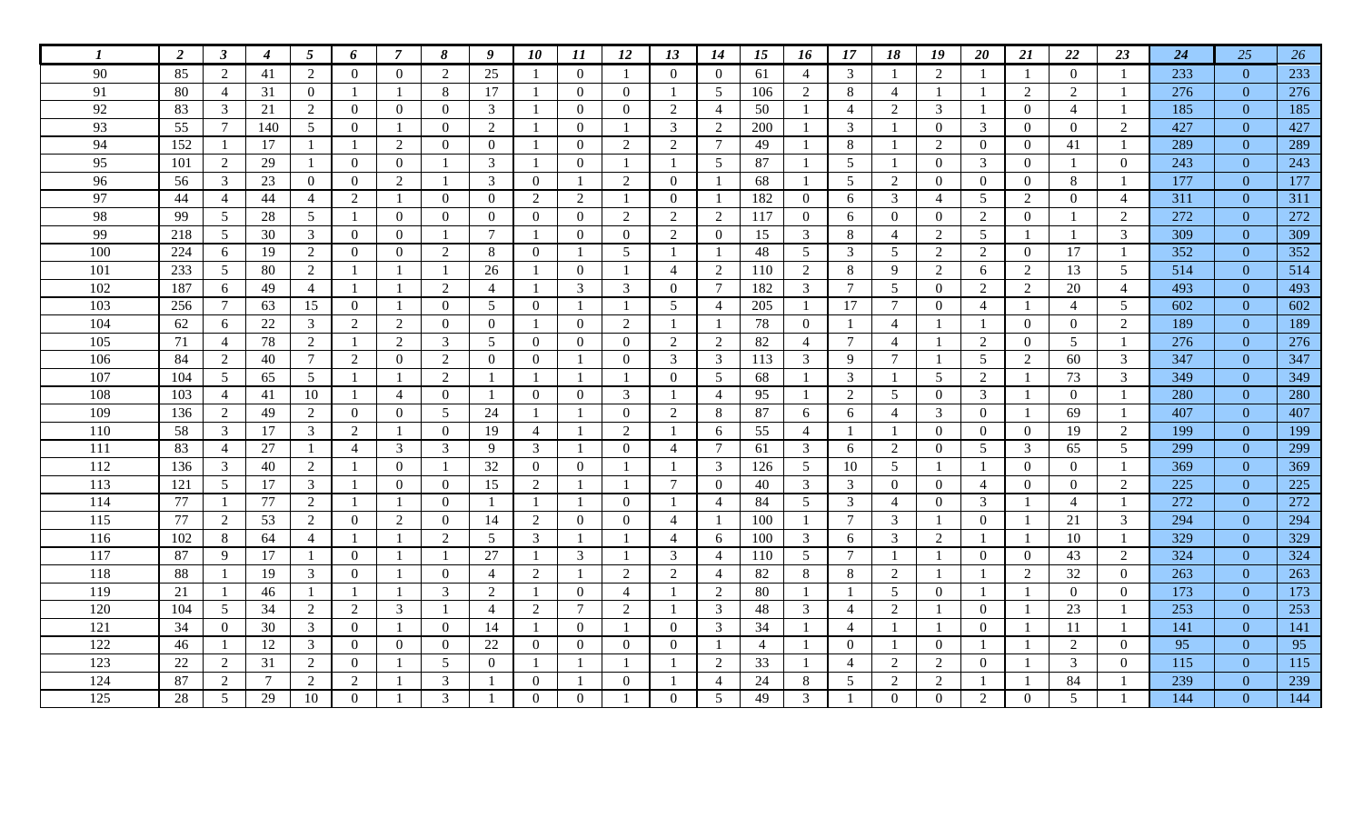| $\boldsymbol{l}$ | $\overline{2}$ | $\mathbf{3}$   | $\overline{4}$ | 5 <sup>5</sup> | 6              | $\overline{7}$ | 8               | 9               | 10             | 11             | <i>12</i>      | 13              | <b>14</b>                | 15             | 16             | 17             | 18              | 19             | 20              | <b>21</b>      | 22             | 23             | 24  | 25             | 26  |
|------------------|----------------|----------------|----------------|----------------|----------------|----------------|-----------------|-----------------|----------------|----------------|----------------|-----------------|--------------------------|----------------|----------------|----------------|-----------------|----------------|-----------------|----------------|----------------|----------------|-----|----------------|-----|
| 90               | 85             | $\overline{2}$ | 41             | $\overline{2}$ | $\overline{0}$ | $\overline{0}$ | $\overline{2}$  | 25              | $\overline{1}$ | $\overline{0}$ | $\overline{1}$ | $\overline{0}$  | $\overline{0}$           | 61             | $\overline{4}$ | $\mathfrak{Z}$ | $\overline{1}$  | 2              | $\overline{1}$  | $\overline{1}$ | $\Omega$       |                | 233 | $\mathbf{0}$   | 233 |
| 91               | 80             | $\overline{4}$ | 31             | $\overline{0}$ | -1             | $\overline{1}$ | 8               | 17              | -1             | $\overline{0}$ | $\theta$       | $\mathbf{1}$    | $5\overline{)}$          | 106            | $\overline{2}$ | 8              | $\overline{4}$  |                | $\mathbf{1}$    | $\overline{2}$ | 2              |                | 276 | $\mathbf{0}$   | 276 |
| 92               | 83             | 3              | 21             | $\overline{2}$ | $\Omega$       | $\theta$       | $\overline{0}$  | $\overline{3}$  |                | $\overline{0}$ | $\Omega$       | $\overline{2}$  | $\overline{4}$           | 50             |                | $\overline{4}$ | $\overline{2}$  | 3              | $\mathbf{1}$    | $\Omega$       | $\overline{4}$ |                | 185 | $\overline{0}$ | 185 |
| 93               | 55             | 7              | 140            | 5              | $\overline{0}$ | $\overline{1}$ | $\overline{0}$  | 2               | -1             | $\overline{0}$ | -1             | $\mathfrak{Z}$  | 2                        | 200            |                | 3              | -1              | $\theta$       | $\mathfrak{Z}$  | $\Omega$       | $\overline{0}$ | 2              | 427 | $\overline{0}$ | 427 |
| 94               | 152            |                | 17             |                | -1             | 2              | $\overline{0}$  | $\overline{0}$  |                | $\theta$       | 2              | 2               | $\overline{7}$           | 49             |                | 8              |                 | 2              | $\theta$        | $\Omega$       | 41             |                | 289 | $\overline{0}$ | 289 |
| 95               | 101            | $\overline{2}$ | 29             |                | $\Omega$       | $\Omega$       |                 | 3               |                | $\theta$       | -1             | $\mathbf{1}$    | $5\overline{)}$          | 87             |                | $\overline{5}$ | -1              | $\overline{0}$ | $\mathfrak{Z}$  | $\theta$       |                | $\Omega$       | 243 | $\overline{0}$ | 243 |
| 96               | 56             | $\mathfrak{Z}$ | 23             | $\overline{0}$ | $\overline{0}$ | $\overline{2}$ |                 | $\mathfrak{Z}$  | $\overline{0}$ |                | 2              | $\overline{0}$  |                          | 68             |                | 5              | $\overline{2}$  | $\mathbf{0}$   | $\mathbf{0}$    | $\overline{0}$ | 8              |                | 177 | $\mathbf{0}$   | 177 |
| 97               | 44             | $\overline{4}$ | 44             | $\overline{4}$ | 2              | $\overline{1}$ | $\overline{0}$  | $\overline{0}$  | $\overline{2}$ | $\overline{2}$ | -1             | $\overline{0}$  |                          | 182            | $\overline{0}$ | 6              | 3               | $\overline{4}$ | $5\overline{)}$ | $\overline{2}$ | $\overline{0}$ | $\overline{4}$ | 311 | $\mathbf{0}$   | 311 |
| 98               | 99             | 5 <sup>5</sup> | 28             | 5 <sup>5</sup> | -1             | $\overline{0}$ | $\overline{0}$  | $\overline{0}$  | $\overline{0}$ | $\mathbf{0}$   | 2              | $\overline{2}$  | $\overline{2}$           | 117            | $\overline{0}$ | 6              | $\overline{0}$  | $\mathbf{0}$   | 2               | $\overline{0}$ |                | 2              | 272 | $\mathbf{0}$   | 272 |
| 99               | 218            | 5 <sup>5</sup> | 30             | 3 <sup>7</sup> | $\Omega$       | $\overline{0}$ |                 | $\overline{7}$  |                | $\overline{0}$ | $\overline{0}$ | $\overline{2}$  | $\overline{0}$           | 15             | $\mathfrak{Z}$ | 8              | $\overline{4}$  | 2              | $5\overline{)}$ |                |                | $\mathfrak{Z}$ | 309 | $\mathbf{0}$   | 309 |
| 100              | 224            | 6              | 19             | $\overline{2}$ | $\overline{0}$ | $\overline{0}$ | $\overline{2}$  | 8               | $\overline{0}$ |                | 5              | -1              |                          | 48             | 5              | 3              | $5\overline{)}$ | 2              | 2               | $\theta$       | 17             |                | 352 | $\mathbf{0}$   | 352 |
| 101              | 233            | 5 <sup>5</sup> | 80             | $\overline{2}$ |                |                |                 | 26              |                | $\overline{0}$ | -1             | $\overline{4}$  | 2                        | 110            | $\overline{2}$ | 8              | 9               | $\overline{2}$ | 6               | $\overline{2}$ | 13             | 5              | 514 | $\mathbf{0}$   | 514 |
| 102              | 187            | 6              | 49             | $\overline{4}$ | -1             |                | 2               | $\overline{4}$  |                | 3              | 3              | $\overline{0}$  | $\overline{7}$           | 182            | $\mathfrak{Z}$ | $\overline{7}$ | $5\overline{)}$ | $\mathbf{0}$   | 2               | $\overline{2}$ | 20             | $\overline{4}$ | 493 | $\overline{0}$ | 493 |
| 103              | 256            | 7              | 63             | 15             | $\Omega$       | - 1            | $\overline{0}$  | 5               | $\overline{0}$ |                | -1             | 5 <sup>5</sup>  | $\overline{4}$           | 205            |                | 17             | 7               | $\overline{0}$ | $\overline{4}$  |                | $\overline{4}$ | 5              | 602 | $\overline{0}$ | 602 |
| 104              | 62             | 6              | 22             | $\mathbf{3}$   | 2              | 2              | $\overline{0}$  | $\Omega$        | -1             | $\theta$       | 2              | $\mathbf{1}$    |                          | 78             | $\overline{0}$ | $\overline{1}$ | $\overline{4}$  |                | -1              | $\Omega$       | $\overline{0}$ | 2              | 189 | $\theta$       | 189 |
| 105              | 71             | $\overline{4}$ | 78             | $\overline{2}$ | -1             | 2              | $\mathfrak{Z}$  | 5               | $\Omega$       | $\theta$       | $\theta$       | $\overline{2}$  | 2                        | 82             | 4              | $\overline{7}$ | $\overline{4}$  | -1             | $\overline{2}$  | $\Omega$       | 5              |                | 276 | $\theta$       | 276 |
| 106              | 84             | $\overline{2}$ | 40             | $\tau$         | 2              | $\overline{0}$ | 2               | $\overline{0}$  | $\overline{0}$ |                | $\overline{0}$ | $\mathfrak{Z}$  | 3                        | 113            | $\mathfrak{Z}$ | 9              | $7\phantom{.0}$ |                | $5\overline{)}$ | 2              | 60             | $\mathfrak{Z}$ | 347 | $\mathbf{0}$   | 347 |
| 107              | 104            | 5 <sup>5</sup> | 65             | 5 <sup>5</sup> | -1             | -1             | 2               | - 1             | -1             |                | -1             | $\overline{0}$  | $5\overline{)}$          | 68             |                | $\mathfrak{Z}$ | -1              | 5              | 2               |                | 73             | $\mathfrak{Z}$ | 349 | $\mathbf{0}$   | 349 |
| 108              | 103            | $\overline{4}$ | 41             | 10             | -1             | $\overline{4}$ | $\overline{0}$  | - 1             | $\overline{0}$ | $\overline{0}$ | $\mathfrak{Z}$ | $\mathbf{1}$    | $\overline{4}$           | 95             | -1             | $\overline{2}$ | $5\overline{)}$ | $\overline{0}$ | $\mathfrak{Z}$  |                | $\overline{0}$ |                | 280 | $\mathbf{0}$   | 280 |
| 109              | 136            | $\overline{2}$ | 49             | $\overline{2}$ | $\mathbf{0}$   | $\overline{0}$ | $5\overline{)}$ | 24              | -1             |                | $\overline{0}$ | $\overline{2}$  | 8                        | 87             | 6              | 6              | $\overline{4}$  | $\mathfrak{Z}$ | $\mathbf{0}$    |                | 69             |                | 407 | $\mathbf{0}$   | 407 |
| 110              | 58             | 3              | 17             | 3 <sup>7</sup> | 2              | -1             | $\overline{0}$  | 19              | $\overline{4}$ |                | 2              | $\mathbf{1}$    | 6                        | 55             | $\overline{4}$ | -1             | -1              | $\overline{0}$ | $\mathbf{0}$    | $\overline{0}$ | 19             | 2              | 199 | $\mathbf{0}$   | 199 |
| 111              | 83             | $\overline{4}$ | 27             |                | $\overline{4}$ | $\mathbf{3}$   | 3               | 9               | 3              |                | $\Omega$       | $\overline{4}$  | $\overline{7}$           | 61             | 3 <sup>7</sup> | 6              | 2               | $\overline{0}$ | 5               | $\mathfrak{Z}$ | 65             | 5              | 299 | $\mathbf{0}$   | 299 |
| 112              | 136            | 3 <sup>7</sup> | 40             | $\overline{2}$ |                | $\overline{0}$ |                 | 32              | $\overline{0}$ | $\overline{0}$ | -1             | $\overline{1}$  | 3                        | 126            | 5 <sup>5</sup> | 10             | $5\overline{)}$ | -1             | $\mathbf{1}$    | $\Omega$       | $\overline{0}$ |                | 369 | $\mathbf{0}$   | 369 |
| 113              | 121            | 5 <sup>5</sup> | 17             | $\mathfrak{Z}$ |                | $\overline{0}$ | $\overline{0}$  | 15              | 2              |                | -1             | $7\overline{ }$ | $\overline{0}$           | 40             | $\mathfrak{Z}$ | $\mathfrak{Z}$ | $\overline{0}$  | $\overline{0}$ | $\overline{4}$  | $\Omega$       | $\overline{0}$ | 2              | 225 | $\overline{0}$ | 225 |
| 114              | 77             | 1              | 77             | $\overline{2}$ |                | $\overline{1}$ | $\Omega$        | -1              | -1             |                | $\Omega$       | $\mathbf{1}$    | $\overline{4}$           | 84             | 5 <sup>5</sup> | $\mathfrak{Z}$ | $\overline{4}$  | $\theta$       | 3               |                | $\overline{4}$ |                | 272 | $\theta$       | 272 |
| 115              | 77             | $\overline{2}$ | 53             | $\overline{2}$ | $\mathbf{0}$   | $\overline{2}$ | $\overline{0}$  | 14              | $\overline{2}$ | $\overline{0}$ | $\overline{0}$ | $\overline{4}$  |                          | 100            |                | $\tau$         | $\mathfrak{Z}$  | - 1            | $\mathbf{0}$    |                | 21             | 3              | 294 | $\mathbf{0}$   | 294 |
| 116              | 102            | 8              | 64             | $\overline{4}$ | -1             | $\overline{1}$ | 2               | $5\overline{)}$ | $\mathfrak{Z}$ |                | -1             | $\overline{4}$  | 6                        | 100            | 3 <sup>7</sup> | 6              | $\mathfrak{Z}$  | $\overline{2}$ | $\overline{1}$  |                | 10             |                | 329 | $\mathbf{0}$   | 329 |
| 117              | 87             | 9              | 17             |                | $\overline{0}$ | -1             |                 | 27              | -1             | 3              | -1             | $\mathfrak{Z}$  | $\overline{4}$           | 110            | 5 <sup>5</sup> | $\overline{7}$ | -1              | - 1            | $\mathbf{0}$    | $\overline{0}$ | 43             | 2              | 324 | $\overline{0}$ | 324 |
| 118              | 88             | $\mathbf{1}$   | 19             | $\mathbf{3}$   | $\overline{0}$ | -1             | $\overline{0}$  | $\overline{4}$  | $\overline{2}$ |                | 2              | 2               | $\overline{4}$           | 82             | 8              | 8              | $\overline{2}$  | -1             | $\overline{1}$  | 2              | 32             | $\overline{0}$ | 263 | $\mathbf{0}$   | 263 |
| 119              | 21             |                | 46             |                |                | $\overline{1}$ | 3               | 2               | $\overline{1}$ | $\theta$       | $\overline{4}$ | $\overline{1}$  | 2                        | 80             |                |                | $5\overline{)}$ | $\theta$       | $\mathbf{1}$    |                | $\overline{0}$ | $\Omega$       | 173 | $\mathbf{0}$   | 173 |
| 120              | 104            | 5 <sup>1</sup> | 34             | 2              | 2              | $\mathbf{3}$   |                 | $\overline{4}$  | $\overline{2}$ | $\overline{7}$ | 2              | $\mathbf{1}$    | $\overline{3}$           | 48             | 3 <sup>1</sup> | $\overline{4}$ | $\overline{2}$  |                | $\overline{0}$  |                | 23             |                | 253 | $\overline{0}$ | 253 |
| 121              | 34             | $\overline{0}$ | 30             | $\mathfrak{Z}$ | $\overline{0}$ | $\overline{1}$ | $\theta$        | 14              | -1             | $\theta$       | $\overline{1}$ | $\overline{0}$  | 3                        | 34             |                | $\overline{4}$ | $\overline{1}$  | - 1            | $\overline{0}$  |                | 11             |                | 141 | $\overline{0}$ | 141 |
| 122              | 46             |                | 12             | $\mathfrak{Z}$ | $\overline{0}$ | $\Omega$       | $\Omega$        | 22              | $\Omega$       | $\theta$       | $\overline{0}$ | $\overline{0}$  |                          | $\overline{4}$ |                | $\overline{0}$ |                 | $\overline{0}$ |                 |                | 2              | $\Omega$       | 95  | $\overline{0}$ | 95  |
| 123              | 22             | $\overline{2}$ | 31             | $\overline{2}$ | $\Omega$       |                | $5\overline{)}$ | $\theta$        |                |                | $\overline{1}$ | $\mathbf{1}$    | 2                        | 33             |                | $\overline{4}$ | 2               | 2              | $\theta$        |                | $\mathfrak{Z}$ | $\Omega$       | 115 | $\theta$       | 115 |
| 124              | 87             | $\overline{2}$ | $\tau$         | $\overline{2}$ | 2              |                | $\mathfrak{Z}$  |                 | $\theta$       |                | $\Omega$       | $\mathbf{1}$    | $\boldsymbol{\varDelta}$ | 24             | 8              | 5              | $\overline{2}$  | 2              |                 |                | 84             |                | 239 | $\overline{0}$ | 239 |
| 125              | 28             | 5 <sup>5</sup> | 29             | 10             | $\overline{0}$ |                | 3               |                 | $\overline{0}$ | $\overline{0}$ |                | $\Omega$        | 5                        | 49             | 3              |                | $\overline{0}$  | $\mathbf{0}$   | 2               | $\Omega$       | 5              |                | 144 | $\overline{0}$ | 144 |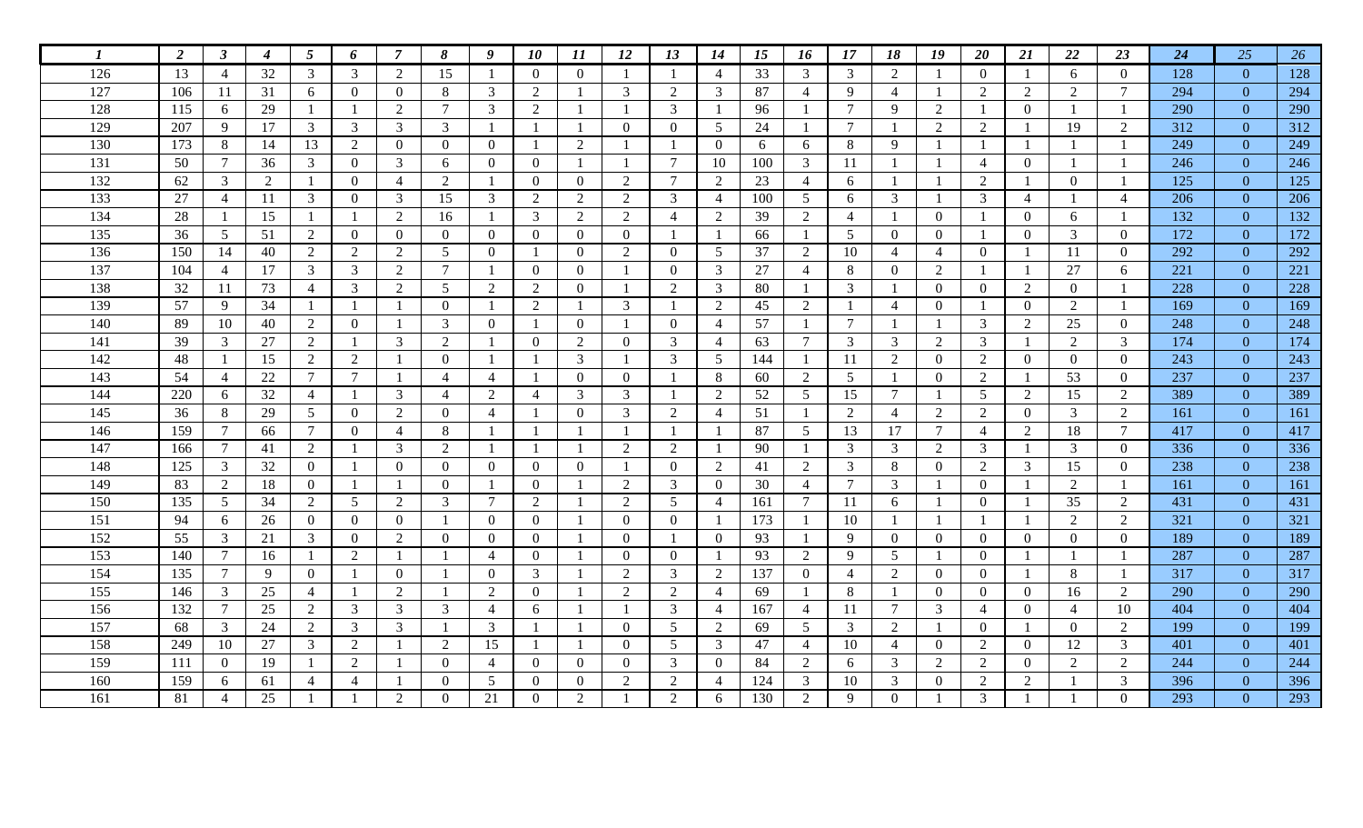| $\boldsymbol{l}$ | $\overline{2}$ | $\mathfrak{Z}$           | $\boldsymbol{4}$ | 5 <sup>5</sup>  | 6              | $\overline{7}$ | 8              | 9              | 10             | 11             | <i>12</i>      | 13              | <b>14</b>       | 15  | 16             | 17              | 18              | 19                       | 20              | <b>21</b>      | 22             | 23             | 24  | 25             | 26  |
|------------------|----------------|--------------------------|------------------|-----------------|----------------|----------------|----------------|----------------|----------------|----------------|----------------|-----------------|-----------------|-----|----------------|-----------------|-----------------|--------------------------|-----------------|----------------|----------------|----------------|-----|----------------|-----|
| 126              | 13             | $\overline{4}$           | 32               | $\mathfrak{Z}$  | $\mathfrak{Z}$ | $\overline{2}$ | 15             | $\overline{1}$ | $\overline{0}$ | $\overline{0}$ | $\overline{1}$ | $\overline{1}$  | $\overline{4}$  | 33  | 3              | 3               | $\overline{2}$  |                          | $\overline{0}$  | $\overline{1}$ | 6              | $\Omega$       | 128 | $\mathbf{0}$   | 128 |
| 127              | 106            | 11                       | 31               | 6               | $\Omega$       | $\overline{0}$ | 8              | $\mathfrak{Z}$ | $\overline{2}$ |                | 3              | $\overline{2}$  | $\mathfrak{Z}$  | 87  | $\overline{4}$ | 9               | $\overline{4}$  |                          | 2               | $\overline{2}$ | $\overline{2}$ | $\tau$         | 294 | $\mathbf{0}$   | 294 |
| 128              | 115            | 6                        | 29               |                 |                | $\overline{2}$ | $\overline{7}$ | $\mathfrak{Z}$ | $\overline{2}$ |                | $\overline{1}$ | $\mathfrak{Z}$  |                 | 96  |                | $\overline{7}$  | 9               | 2                        | $\mathbf{1}$    | $\theta$       |                |                | 290 | $\overline{0}$ | 290 |
| 129              | 207            | 9                        | 17               | 3               | $\overline{3}$ | 3              | 3              | -1             | $\overline{1}$ |                | $\theta$       | $\overline{0}$  | $5\overline{)}$ | 24  | -1             | 7               | -1              | 2                        | $\overline{2}$  |                | 19             | 2              | 312 | $\mathbf{0}$   | 312 |
| 130              | 173            | 8                        | 14               | 13              | 2              | $\overline{0}$ | $\mathbf{0}$   | $\mathbf{0}$   | $\overline{1}$ | 2              | -1             | $\mathbf{1}$    | $\overline{0}$  | 6   | 6              | 8               | 9               |                          | $\overline{1}$  |                |                |                | 249 | $\mathbf{0}$   | 249 |
| 131              | 50             | $\tau$                   | 36               | $\mathfrak{Z}$  | $\overline{0}$ | $\mathfrak{Z}$ | 6              | $\overline{0}$ | $\overline{0}$ |                | -1             | $7\overline{ }$ | 10              | 100 | $\mathfrak{Z}$ | -11             |                 |                          | $\overline{4}$  | $\overline{0}$ |                |                | 246 | $\mathbf{0}$   | 246 |
| 132              | 62             | 3 <sup>1</sup>           | $\overline{2}$   |                 | $\Omega$       | $\overline{4}$ | $\overline{2}$ |                | $\overline{0}$ | $\overline{0}$ | 2              | $\tau$          | $\overline{2}$  | 23  | $\overline{4}$ | 6               |                 |                          | $\overline{2}$  |                | $\overline{0}$ |                | 125 | $\mathbf{0}$   | 125 |
| 133              | 27             | $\overline{4}$           | 11               | $\mathfrak{Z}$  | $\overline{0}$ | $\mathfrak{Z}$ | 15             | $\mathfrak{Z}$ | $\overline{2}$ | $\overline{2}$ | $\overline{2}$ | $\mathfrak{Z}$  | $\overline{4}$  | 100 | 5 <sup>5</sup> | 6               | $\mathfrak{Z}$  |                          | $\mathfrak{Z}$  | $\overline{4}$ |                | $\overline{4}$ | 206 | $\overline{0}$ | 206 |
| 134              | 28             |                          | 15               |                 | $\overline{1}$ | $\overline{2}$ | 16             | $\overline{1}$ | $\mathfrak{Z}$ | $\overline{2}$ | $\overline{2}$ | $\overline{4}$  | $\overline{2}$  | 39  | $\overline{2}$ | $\overline{4}$  | -1              | $\mathbf{0}$             | $\mathbf{1}$    | $\overline{0}$ | 6              |                | 132 | $\overline{0}$ | 132 |
| 135              | 36             | 5 <sup>5</sup>           | 51               | $\overline{2}$  | $\Omega$       | $\Omega$       | $\overline{0}$ | $\Omega$       | $\overline{0}$ | $\overline{0}$ | $\overline{0}$ | $\mathbf{1}$    |                 | 66  | -1             | 5               | $\overline{0}$  | $\overline{0}$           | $\overline{1}$  | $\Omega$       | $\overline{3}$ | $\theta$       | 172 | $\overline{0}$ | 172 |
| 136              | 150            | 14                       | 40               | 2               | 2              | $\overline{2}$ | 5              | $\Omega$       |                | $\overline{0}$ | 2              | $\overline{0}$  | $5\overline{)}$ | 37  | $\overline{2}$ | 10              | $\overline{4}$  | $\overline{4}$           | $\overline{0}$  |                | 11             | $\Omega$       | 292 | $\overline{0}$ | 292 |
| 137              | 104            | $\overline{4}$           | 17               | $\mathbf{3}$    | $\overline{3}$ | 2              | $\overline{7}$ |                | $\overline{0}$ | $\overline{0}$ | $\overline{1}$ | $\overline{0}$  | 3               | 27  | $\overline{4}$ | 8               | $\overline{0}$  | 2                        | $\overline{1}$  |                | 27             | 6              | 221 | $\overline{0}$ | 221 |
| 138              | 32             | 11                       | 73               | $\overline{4}$  | 3              | $\overline{2}$ | 5              | 2              | $\overline{2}$ | $\mathbf{0}$   | $\overline{1}$ | $\overline{2}$  | $\mathfrak{Z}$  | 80  |                | 3               |                 | $\mathbf{0}$             | $\theta$        | $\overline{2}$ | $\Omega$       |                | 228 | $\overline{0}$ | 228 |
| 139              | 57             | 9                        | 34               |                 | -1             | $\overline{1}$ | $\overline{0}$ | -1             | $\overline{2}$ |                | 3              | $\mathbf{1}$    | $\overline{2}$  | 45  | $\overline{2}$ | $\overline{1}$  | $\overline{4}$  | $\mathbf{0}$             | $\overline{1}$  | $\overline{0}$ | $\overline{2}$ |                | 169 | $\mathbf{0}$   | 169 |
| 140              | 89             | 10                       | 40               | $\overline{2}$  | $\overline{0}$ | - 1            | $\mathfrak{Z}$ | $\overline{0}$ | $\mathbf{1}$   | $\overline{0}$ | $\overline{1}$ | $\overline{0}$  | $\overline{4}$  | 57  |                | $\overline{7}$  | -1              | -1                       | $\mathfrak{Z}$  | $\overline{2}$ | 25             | $\overline{0}$ | 248 | $\mathbf{0}$   | 248 |
| 141              | 39             | 3 <sup>7</sup>           | 27               | $\overline{2}$  | -1             | $\mathfrak{Z}$ | $\overline{2}$ | - 1            | $\overline{0}$ | 2              | $\overline{0}$ | $\mathfrak{Z}$  | $\overline{4}$  | 63  | $\tau$         | $\mathfrak{Z}$  | $\mathfrak{Z}$  | 2                        | $\mathfrak{Z}$  |                | 2              | $\mathfrak{Z}$ | 174 | $\overline{0}$ | 174 |
| 142              | 48             |                          | 15               | $\overline{2}$  | 2              |                | $\overline{0}$ |                |                | 3              | $\overline{1}$ | $\mathfrak{Z}$  | $\overline{5}$  | 144 |                | <sup>11</sup>   | 2               | $\mathbf{0}$             | 2               | $\overline{0}$ | $\overline{0}$ | $\overline{0}$ | 243 | $\overline{0}$ | 243 |
| 143              | 54             | $\overline{4}$           | 22               | $7\overline{ }$ | $\tau$         |                | $\overline{4}$ | $\overline{4}$ | - 1            | $\overline{0}$ | $\overline{0}$ | $\mathbf{1}$    | 8               | 60  | $\overline{2}$ | $5\overline{)}$ | -1              | $\overline{0}$           | $\overline{2}$  |                | 53             | $\overline{0}$ | 237 | $\overline{0}$ | 237 |
| 144              | 220            | 6                        | 32               | $\overline{4}$  | -1             | $\mathfrak{Z}$ | $\overline{4}$ | 2              | $\overline{4}$ | 3              | 3              | -1              | 2               | 52  | 5 <sup>5</sup> | 15              | $7\phantom{.0}$ | $\overline{\phantom{0}}$ | $5\overline{)}$ | $\overline{2}$ | 15             | 2              | 389 | $\overline{0}$ | 389 |
| 145              | 36             | 8                        | 29               | 5 <sup>5</sup>  | $\Omega$       | 2              | $\overline{0}$ | $\overline{4}$ | -1             | $\theta$       | $\mathfrak{Z}$ | $\overline{2}$  | $\overline{4}$  | 51  |                | 2               | $\overline{4}$  | $\overline{2}$           | 2               | $\Omega$       | 3              | 2              | 161 | $\overline{0}$ | 161 |
| 146              | 159            | $\tau$                   | 66               | $7\phantom{.0}$ | $\overline{0}$ | $\overline{4}$ | 8              |                | -1             |                | -1             | $\mathbf{1}$    |                 | 87  | 5 <sup>5</sup> | 13              | 17              | $\tau$                   | $\overline{4}$  | 2              | 18             | $\tau$         | 417 | $\mathbf{0}$   | 417 |
| 147              | 166            | $\tau$                   | 41               | $\overline{2}$  |                | $\mathfrak{Z}$ | $\overline{2}$ | - 1            | -1             |                | $\overline{2}$ | $\overline{2}$  |                 | 90  | -1             | $\mathfrak{Z}$  | $\mathfrak{Z}$  | $\overline{2}$           | $\mathfrak{Z}$  |                | $\mathbf{3}$   | $\overline{0}$ | 336 | $\mathbf{0}$   | 336 |
| 148              | 125            | 3                        | 32               | $\overline{0}$  |                | $\overline{0}$ | $\mathbf{0}$   | $\mathbf{0}$   | $\overline{0}$ | $\overline{0}$ | -1             | $\overline{0}$  | 2               | 41  | $\overline{2}$ | 3               | 8               | $\overline{0}$           | 2               | $\mathfrak{Z}$ | 15             | $\overline{0}$ | 238 | $\mathbf{0}$   | 238 |
| 149              | 83             | $\overline{2}$           | 18               | $\overline{0}$  |                | $\overline{1}$ | $\overline{0}$ |                | $\overline{0}$ |                | 2              | $\mathfrak{Z}$  | $\overline{0}$  | 30  | $\overline{4}$ | $\tau$          | $\mathfrak{Z}$  |                          | $\mathbf{0}$    |                | 2              |                | 161 | $\mathbf{0}$   | 161 |
| 150              | 135            | 5 <sup>5</sup>           | 34               | $\overline{2}$  | 5              | 2              | $\mathfrak{Z}$ | $\tau$         | 2              |                | 2              | 5 <sup>5</sup>  | $\overline{4}$  | 161 | $\tau$         | <sup>11</sup>   | 6               |                          | $\overline{0}$  |                | 35             | 2              | 431 | $\mathbf{0}$   | 431 |
| 151              | 94             | 6                        | 26               | $\overline{0}$  | $\overline{0}$ | $\overline{0}$ |                | $\overline{0}$ | $\overline{0}$ |                | $\Omega$       | $\overline{0}$  |                 | 173 | -1             | 10              | -1              | -1                       | $\overline{1}$  | - 1            | 2              | 2              | 321 | $\mathbf{0}$   | 321 |
| 152              | 55             | $\mathfrak{Z}$           | 21               | $\mathfrak{Z}$  | $\overline{0}$ | 2              | $\overline{0}$ | $\overline{0}$ | $\overline{0}$ |                | $\Omega$       | -1              | $\overline{0}$  | 93  | -1             | 9               | $\overline{0}$  | $\overline{0}$           | $\overline{0}$  | $\Omega$       | $\overline{0}$ | $\Omega$       | 189 | $\overline{0}$ | 189 |
| 153              | 140            | $\tau$                   | 16               |                 | 2              | $\overline{1}$ |                | $\overline{4}$ | $\overline{0}$ |                | $\theta$       | $\Omega$        |                 | 93  | $\overline{2}$ | -9              | 5               | - 1                      | $\theta$        | -1             |                |                | 287 | $\overline{0}$ | 287 |
| 154              | 135            | $\tau$                   | -9               | $\Omega$        | -1             | $\mathbf{0}$   |                | $\Omega$       | $\mathfrak{Z}$ |                | 2              | $\mathfrak{Z}$  | 2               | 137 | $\overline{0}$ | $\overline{4}$  | $\overline{2}$  | $\overline{0}$           | $\theta$        | - 1            | 8              |                | 317 | $\overline{0}$ | 317 |
| 155              | 146            | 3 <sup>7</sup>           | 25               | $\overline{4}$  | -1             | 2              |                | 2              | $\overline{0}$ |                | 2              | $\overline{2}$  | $\overline{4}$  | 69  | -1             | 8               | -1              | $\overline{0}$           | $\mathbf{0}$    | $\overline{0}$ | 16             | 2              | 290 | $\mathbf{0}$   | 290 |
| 156              | 132            | $\tau$                   | 25               | $\overline{2}$  | $\overline{3}$ | $\mathfrak{Z}$ | $\mathfrak{Z}$ | $\overline{4}$ | 6              |                | -1             | $\mathfrak{Z}$  | $\overline{4}$  | 167 | $\overline{4}$ | <sup>11</sup>   | $7\overline{ }$ | 3                        | $\overline{4}$  | $\overline{0}$ | $\overline{4}$ | 10             | 404 | $\mathbf{0}$   | 404 |
| 157              | 68             | $\mathfrak{Z}$           | 24               | $\overline{2}$  | $\overline{3}$ | $\mathfrak{Z}$ |                | $\overline{3}$ | -1             |                | $\Omega$       | $5\overline{)}$ | 2               | 69  | 5 <sup>5</sup> | $\mathbf{3}$    | 2               | -1                       | $\mathbf{0}$    | -1             | $\overline{0}$ | 2              | 199 | $\mathbf{0}$   | 199 |
| 158              | 249            | 10                       | 27               | $\mathbf{3}$    | 2              | -1             | 2              | 15             | -1             |                | $\Omega$       | 5 <sup>5</sup>  | 3               | 47  | $\overline{4}$ | 10              | $\overline{4}$  | $\overline{0}$           | 2               | $\Omega$       | 12             | $\mathfrak{Z}$ | 401 | $\mathbf{0}$   | 401 |
| 159              | 111            | $\overline{0}$           | 19               |                 | 2              | $\overline{1}$ | $\overline{0}$ | $\overline{4}$ | $\overline{0}$ | $\overline{0}$ | $\Omega$       | $\mathfrak{Z}$  | $\overline{0}$  | 84  | $\overline{2}$ | 6               | $\mathfrak{Z}$  | 2                        | 2               | $\Omega$       | 2              | 2              | 244 | $\mathbf{0}$   | 244 |
| 160              | 159            | 6                        | 61               |                 | $\overline{4}$ |                | $\Omega$       | 5              | $\Omega$       | $\theta$       | 2              | $\overline{2}$  |                 | 124 | 3              | 10              | $\mathfrak{Z}$  | $\theta$                 | 2               | 2              |                | 3              | 396 | $\theta$       | 396 |
| 161              | 81             | $\overline{\mathcal{A}}$ | 25               |                 |                | $\overline{2}$ | $\theta$       | 21             | $\Omega$       | $\overline{2}$ |                | $\overline{2}$  | 6               | 130 | $\overline{2}$ | 9               | $\Omega$        |                          | $\overline{3}$  |                |                | $\Omega$       | 293 | $\mathbf{0}$   | 293 |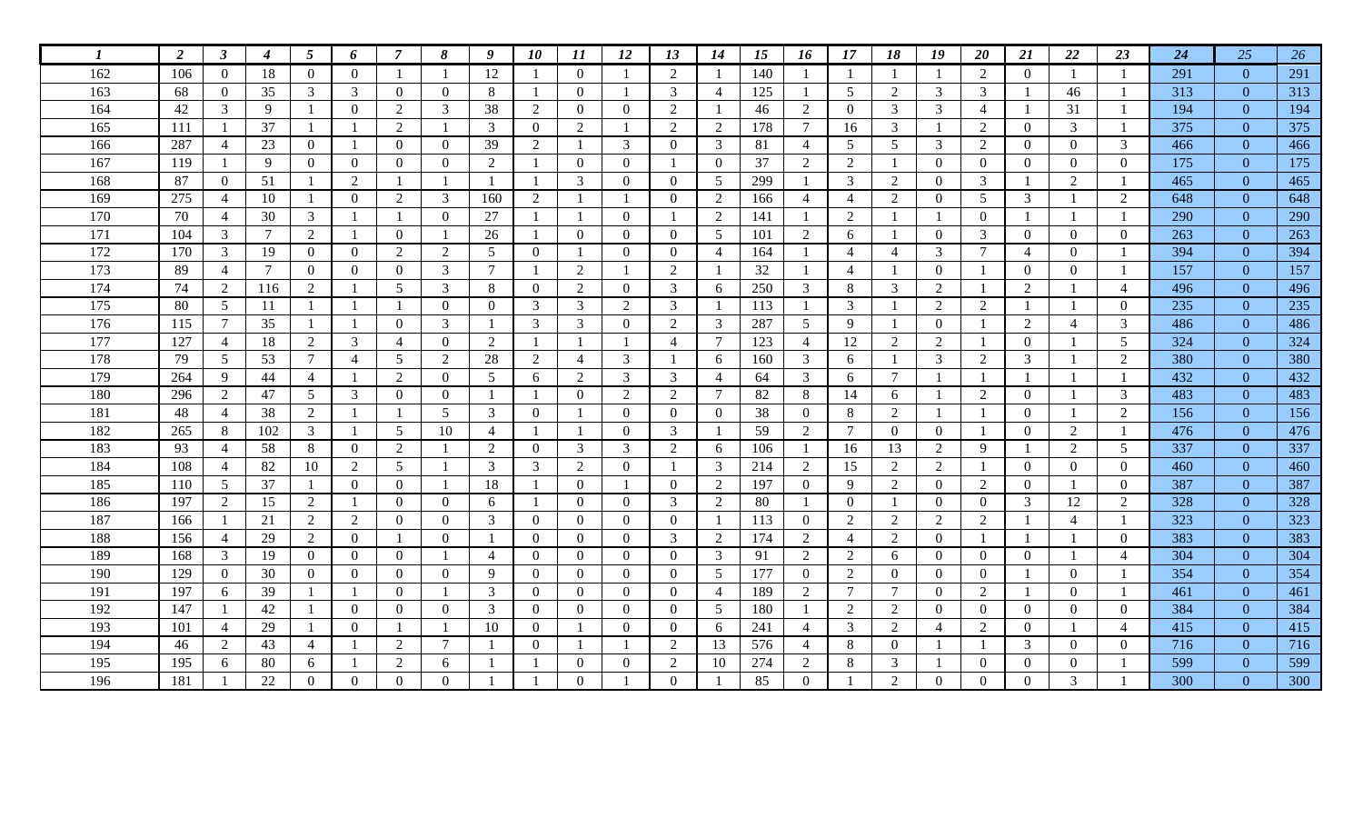| $\boldsymbol{\eta}$ | $\overline{2}$ | $\mathbf{3}$    | $\boldsymbol{4}$ | 5 <sup>5</sup> | 6              | $\overline{7}$  | 8               | 9              | 10             | 11             | 12             | 13             | 14                       | 15  | 16             | 17             | 18              | 19             | 20              | 21             | 22             | 23             | 24  | 25             | 26  |
|---------------------|----------------|-----------------|------------------|----------------|----------------|-----------------|-----------------|----------------|----------------|----------------|----------------|----------------|--------------------------|-----|----------------|----------------|-----------------|----------------|-----------------|----------------|----------------|----------------|-----|----------------|-----|
| 162                 | 106            | $\overline{0}$  | 18               | $\Omega$       | $\overline{0}$ | - 1             |                 | 12             |                | $\theta$       | $\overline{1}$ | 2              |                          | 140 |                |                |                 |                | 2               | $\Omega$       |                |                | 291 | $\overline{0}$ | 291 |
| 163                 | 68             | $\overline{0}$  | 35               | 3              | $\overline{3}$ | $\theta$        | $\Omega$        | 8              |                | $\theta$       | -1             | 3              | $\overline{4}$           | 125 |                | 5              | 2               | 3              | 3               |                | 46             |                | 313 | $\theta$       | 313 |
| 164                 | 42             | $\mathfrak{Z}$  | 9                |                | $\Omega$       | $\overline{2}$  | $\overline{3}$  | 38             | 2              | $\theta$       | $\Omega$       | $\overline{2}$ |                          | 46  | $\overline{2}$ | $\Omega$       | $\overline{3}$  | $\overline{3}$ | $\overline{4}$  |                | 31             |                | 194 | $\overline{0}$ | 194 |
| 165                 | 111            |                 | 37               |                |                | $\overline{2}$  |                 | $\mathfrak{Z}$ | $\overline{0}$ | $\overline{2}$ | $\overline{1}$ | $\overline{2}$ | 2                        | 178 | $7^{\circ}$    | 16             | $\mathfrak{Z}$  |                | $\overline{2}$  | $\theta$       | $\mathfrak{Z}$ |                | 375 | $\mathbf{0}$   | 375 |
| 166                 | 287            | $\overline{4}$  | 23               | $\Omega$       |                | $\overline{0}$  | $\Omega$        | 39             | 2              |                | 3              | $\overline{0}$ | 3                        | 81  | $\overline{4}$ | 5              | 5               | 3              | 2               | $\Omega$       | $\overline{0}$ | 3              | 466 | $\overline{0}$ | 466 |
| 167                 | 119            |                 | $\mathbf Q$      | $\Omega$       | $\Omega$       | $\theta$        | $\Omega$        | $\overline{2}$ |                | $\theta$       | $\theta$       | $\mathbf{1}$   | $\Omega$                 | 37  | $\overline{2}$ | 2              |                 | $\theta$       | $\theta$        | $\theta$       | $\Omega$       | $\Omega$       | 175 | $\mathbf{0}$   | 175 |
| 168                 | 87             | $\Omega$        | 51               |                | 2              |                 |                 |                |                | 3              | $\Omega$       | $\overline{0}$ | 5                        | 299 |                | 3              | $\overline{2}$  | $\mathbf{0}$   | $\overline{3}$  |                | 2              |                | 465 | $\overline{0}$ | 465 |
| 169                 | 275            | 4               | 10               |                | $\theta$       | $\overline{2}$  | 3               | 160            | 2              |                | $\mathbf{1}$   | $\Omega$       | 2                        | 166 | $\overline{4}$ | $\overline{4}$ | $\overline{2}$  | $\overline{0}$ | $5\overline{)}$ | 3              |                | $\overline{2}$ | 648 | $\overline{0}$ | 648 |
| 170                 | 70             | $\overline{4}$  | 30               | $\mathfrak{Z}$ |                |                 | $\mathbf{0}$    | 27             |                |                | $\Omega$       | $\mathbf{1}$   | $\overline{2}$           | 141 |                | $\overline{2}$ |                 |                | $\overline{0}$  |                |                |                | 290 | $\mathbf{0}$   | 290 |
| 171                 | 104            | $\mathfrak{Z}$  | $\tau$           | $\overline{2}$ |                | $\overline{0}$  |                 | 26             |                | $\theta$       | $\Omega$       | $\overline{0}$ | $\overline{5}$           | 101 | $\overline{2}$ | 6              |                 | $\theta$       | $\mathfrak{Z}$  | $\Omega$       | $\Omega$       | $\Omega$       | 263 | $\overline{0}$ | 263 |
| 172                 | 170            | $\mathfrak{Z}$  | 19               | $\Omega$       | $\Omega$       | 2               | 2               | 5              | $\overline{0}$ |                | $\Omega$       | $\overline{0}$ | $\overline{4}$           | 164 |                | $\overline{4}$ | $\overline{4}$  | 3              | $\tau$          | $\overline{4}$ | $\Omega$       |                | 394 | $\overline{0}$ | 394 |
| 173                 | 89             | $\overline{4}$  | $\tau$           | $\Omega$       | $\Omega$       | $\overline{0}$  | 3               | $\tau$         | $\overline{1}$ | 2              | $\overline{1}$ | $\overline{2}$ |                          | 32  |                | $\overline{4}$ |                 | $\mathbf{0}$   | $\mathbf{1}$    | $\theta$       | $\Omega$       |                | 157 | $\theta$       | 157 |
| 174                 | 74             | $\overline{2}$  | 116              | 2              |                | $5\overline{)}$ | $\mathfrak{Z}$  | 8              | $\Omega$       | $\overline{2}$ | $\Omega$       | $\mathfrak{Z}$ | 6                        | 250 | 3              | 8              | 3               | 2              | $\overline{1}$  | $\overline{2}$ |                | $\overline{4}$ | 496 | $\theta$       | 496 |
| 175                 | 80             | 5 <sup>5</sup>  | 11               |                |                |                 | $\mathbf{0}$    | $\Omega$       | 3              | 3              | $\overline{2}$ | $\mathfrak{Z}$ |                          | 113 |                | 3              |                 | $\overline{2}$ | 2               |                |                | $\theta$       | 235 | $\mathbf{0}$   | 235 |
| 176                 | 115            | 7               | 35               |                |                | $\overline{0}$  | $\overline{3}$  |                | $\mathfrak{Z}$ | 3              | $\overline{0}$ | $\overline{2}$ | 3                        | 287 | 5              | 9              |                 | $\mathbf{0}$   | $\mathbf{1}$    | $\overline{2}$ | $\overline{4}$ | 3              | 486 | $\mathbf{0}$   | 486 |
| 177                 | 127            | $\overline{4}$  | 18               | $\overline{2}$ | 3              | $\overline{4}$  | $\overline{0}$  | 2              | $\mathbf{1}$   |                | $\overline{1}$ | $\overline{4}$ | $\tau$                   | 123 | $\overline{4}$ | 12             | $\overline{2}$  | $\overline{2}$ | $\overline{1}$  | $\theta$       |                | 5              | 324 | $\mathbf{0}$   | 324 |
| 178                 | 79             | 5 <sup>5</sup>  | 53               | $7^{\circ}$    | $\overline{4}$ | 5 <sup>5</sup>  | 2               | 28             | 2              | $\overline{4}$ | 3              | -1             | 6                        | 160 | 3              | 6              |                 | 3              | 2               | 3              |                | 2              | 380 | $\overline{0}$ | 380 |
| 179                 | 264            | 9               | 44               | $\overline{4}$ |                | $\overline{2}$  | $\Omega$        | 5              | 6              | 2              | 3              | $\mathfrak{Z}$ | $\boldsymbol{\varDelta}$ | 64  | $\mathfrak{Z}$ | 6              | $7\phantom{.0}$ |                | $\overline{1}$  |                |                |                | 432 | $\overline{0}$ | 432 |
| 180                 | 296            | $\overline{2}$  | 47               | 5 <sup>5</sup> | $\mathfrak{Z}$ | $\overline{0}$  | $\mathbf{0}$    |                | -1             | $\mathbf{0}$   | 2              | $\overline{2}$ | $\tau$                   | 82  | 8              | 14             | 6               |                | $\overline{2}$  | $\Omega$       |                | $\overline{3}$ | 483 | $\overline{0}$ | 483 |
| 181                 | 48             | $\overline{4}$  | 38               | $\overline{2}$ |                | $\overline{1}$  | $5\overline{)}$ | $\mathfrak{Z}$ | $\overline{0}$ |                | $\Omega$       | $\overline{0}$ | $\Omega$                 | 38  | $\overline{0}$ | 8              | $\overline{2}$  |                | $\overline{1}$  | $\Omega$       |                | $\overline{2}$ | 156 | $\overline{0}$ | 156 |
| 182                 | 265            | 8               | 102              | $\mathbf{3}$   |                | $5\overline{)}$ | 10              | $\overline{4}$ |                |                | $\Omega$       | $\mathfrak{Z}$ |                          | 59  | $\overline{2}$ | $\overline{7}$ | $\Omega$        | $\theta$       | $\overline{1}$  | $\Omega$       | 2              |                | 476 | $\mathbf{0}$   | 476 |
| 183                 | 93             | $\overline{4}$  | 58               | 8              | $\Omega$       | 2               |                 | 2              | $\theta$       | 3              | 3              | $\overline{2}$ | 6                        | 106 |                | 16             | 13              | 2              | $\mathbf{Q}$    |                | 2              | 5              | 337 | $\overline{0}$ | 337 |
| 184                 | 108            | $\overline{4}$  | 82               | 10             | $\overline{2}$ | 5 <sup>5</sup>  |                 | $\overline{3}$ | $\mathfrak{Z}$ | $\overline{2}$ | $\Omega$       | $\mathbf{1}$   | 3                        | 214 | 2              | 15             | $\overline{2}$  | $\overline{2}$ | $\mathbf{1}$    | $\Omega$       | $\Omega$       | $\Omega$       | 460 | $\overline{0}$ | 460 |
| 185                 | 110            | $5\overline{)}$ | 37               |                | $\Omega$       | $\overline{0}$  |                 | 18             |                | $\mathbf{0}$   | $\mathbf{1}$   | $\overline{0}$ | $\overline{2}$           | 197 | $\overline{0}$ | 9              | $\overline{2}$  | $\overline{0}$ | 2               | $\Omega$       |                | $\theta$       | 387 | $\mathbf{0}$   | 387 |
| 186                 | 197            | 2               | 15               | $\overline{2}$ |                | $\overline{0}$  | $\Omega$        | 6              |                | $\theta$       | $\overline{0}$ | $\mathfrak{Z}$ | 2                        | 80  |                | $\overline{0}$ |                 | $\theta$       | $\mathbf{0}$    | 3              | 12             | 2              | 328 | $\overline{0}$ | 328 |
| 187                 | 166            |                 | 21               | $\overline{2}$ | 2              | $\Omega$        | $\Omega$        | $\overline{3}$ | $\Omega$       | $\theta$       | $\theta$       | $\Omega$       |                          | 113 | $\overline{0}$ | $\overline{2}$ | $\overline{2}$  | 2              | 2               |                | $\overline{4}$ |                | 323 | $\theta$       | 323 |
| 188                 | 156            | $\overline{4}$  | 29               | $\overline{2}$ | $\theta$       | $\overline{1}$  | $\Omega$        |                | $\Omega$       | $\overline{0}$ | $\theta$       | $\mathfrak{Z}$ | 2                        | 174 | $\overline{2}$ | $\overline{4}$ | $\overline{2}$  | $\overline{0}$ | $\mathbf{1}$    |                |                | $\Omega$       | 383 | $\overline{0}$ | 383 |
| 189                 | 168            | 3               | 19               | $\Omega$       | $\Omega$       | $\Omega$        |                 | $\overline{4}$ | $\Omega$       | $\theta$       | $\Omega$       | $\Omega$       | 3                        | 91  | $\overline{2}$ | $\overline{2}$ | 6               | $\theta$       | $\theta$        | $\Omega$       |                | $\overline{4}$ | 304 | $\overline{0}$ | 304 |
| 190                 | 129            | $\overline{0}$  | 30               | $\overline{0}$ | $\overline{0}$ | $\overline{0}$  | $\overline{0}$  | 9              | $\overline{0}$ | $\overline{0}$ | $\overline{0}$ | $\overline{0}$ | 5                        | 177 | $\overline{0}$ | $\overline{2}$ | $\overline{0}$  | $\mathbf{0}$   | $\mathbf{0}$    |                | $\overline{0}$ |                | 354 | $\overline{0}$ | 354 |
| 191                 | 197            | 6               | 39               |                |                | $\theta$        |                 | 3              | $\Omega$       | $\theta$       | $\Omega$       | $\Omega$       | $\overline{A}$           | 189 | $\overline{2}$ | $\tau$         | $\tau$          | $\theta$       | 2               |                | $\Omega$       |                | 461 | $\theta$       | 461 |
| 192                 | 147            |                 | 42               |                | $\Omega$       | $\theta$        | $\Omega$        | 3              | $\Omega$       | $\overline{0}$ | $\Omega$       | $\overline{0}$ | 5                        | 180 |                | 2              | $\overline{2}$  | $\mathbf{0}$   | $\theta$        | $\theta$       | $\Omega$       | $\Omega$       | 384 | $\overline{0}$ | 384 |
| 193                 | 101            | $\overline{4}$  | 29               |                | $\theta$       |                 |                 | 10             | $\Omega$       |                | $\Omega$       | $\Omega$       | 6                        | 241 | $\overline{4}$ | 3              | $\overline{2}$  | $\overline{4}$ | 2               | $\theta$       |                | $\overline{4}$ | 415 | $\overline{0}$ | 415 |
| 194                 | 46             | 2               | 43               | $\overline{4}$ |                | $\overline{2}$  | $\tau$          |                | $\Omega$       |                | $\overline{1}$ | 2              | 13                       | 576 | 4              | 8              | $\overline{0}$  |                | -1              | $\mathfrak{Z}$ | $\Omega$       | $\Omega$       | 716 | $\overline{0}$ | 716 |
| 195                 | 195            | 6               | 80               | 6              |                | 2               | 6               |                |                | $\overline{0}$ | $\theta$       | $\overline{2}$ | 10                       | 274 | $\overline{2}$ | 8              | 3               |                | $\overline{0}$  | $\Omega$       | $\overline{0}$ |                | 599 | $\mathbf{0}$   | 599 |
| 196                 | 181            |                 | 22               | $\Omega$       | $\theta$       | $\Omega$        | $\Omega$        |                |                | $\theta$       |                | $\overline{0}$ |                          | 85  | $\theta$       |                | $\overline{2}$  | $\theta$       | $\overline{0}$  | $\Omega$       | 3              |                | 300 | $\mathbf{0}$   | 300 |